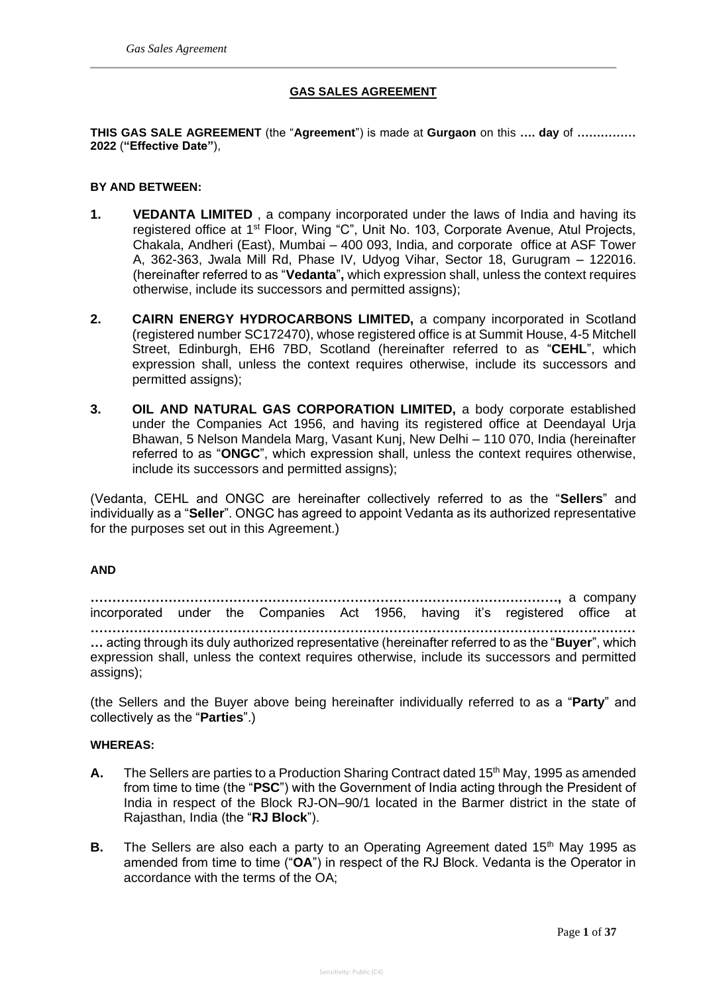## **GAS SALES AGREEMENT**

**THIS GAS SALE AGREEMENT** (the "**Agreement**") is made at **Gurgaon** on this **…. day** of **…………… 2022** (**"Effective Date"**),

## **BY AND BETWEEN:**

- **1. VEDANTA LIMITED** , a company incorporated under the laws of India and having its registered office at 1st Floor, Wing "C", Unit No. 103, Corporate Avenue, Atul Projects, Chakala, Andheri (East), Mumbai – 400 093, India, and corporate office at ASF Tower A, 362-363, Jwala Mill Rd, Phase IV, Udyog Vihar, Sector 18, Gurugram – 122016. (hereinafter referred to as "**Vedanta**"**,** which expression shall, unless the context requires otherwise, include its successors and permitted assigns);
- **2. CAIRN ENERGY HYDROCARBONS LIMITED,** a company incorporated in Scotland (registered number SC172470), whose registered office is at Summit House, 4-5 Mitchell Street, Edinburgh, EH6 7BD, Scotland (hereinafter referred to as "**CEHL**", which expression shall, unless the context requires otherwise, include its successors and permitted assigns);
- **3. OIL AND NATURAL GAS CORPORATION LIMITED,** a body corporate established under the Companies Act 1956, and having its registered office at Deendayal Urja Bhawan, 5 Nelson Mandela Marg, Vasant Kunj, New Delhi – 110 070, India (hereinafter referred to as "**ONGC**", which expression shall, unless the context requires otherwise, include its successors and permitted assigns);

(Vedanta, CEHL and ONGC are hereinafter collectively referred to as the "**Sellers**" and individually as a "**Seller**". ONGC has agreed to appoint Vedanta as its authorized representative for the purposes set out in this Agreement.)

## **AND**

**………………………………………………………………………………………………,** a company incorporated under the Companies Act 1956, having it's registered office at **……………………………………………………………………………………………………………… …** acting through its duly authorized representative (hereinafter referred to as the "**Buyer**", which expression shall, unless the context requires otherwise, include its successors and permitted assigns);

(the Sellers and the Buyer above being hereinafter individually referred to as a "**Party**" and collectively as the "**Parties**".)

## **WHEREAS:**

- A. The Sellers are parties to a Production Sharing Contract dated 15<sup>th</sup> May, 1995 as amended from time to time (the "**PSC**") with the Government of India acting through the President of India in respect of the Block RJ-ON–90/1 located in the Barmer district in the state of Rajasthan, India (the "**RJ Block**").
- **B.** The Sellers are also each a party to an Operating Agreement dated 15<sup>th</sup> May 1995 as amended from time to time ("**OA**") in respect of the RJ Block. Vedanta is the Operator in accordance with the terms of the OA;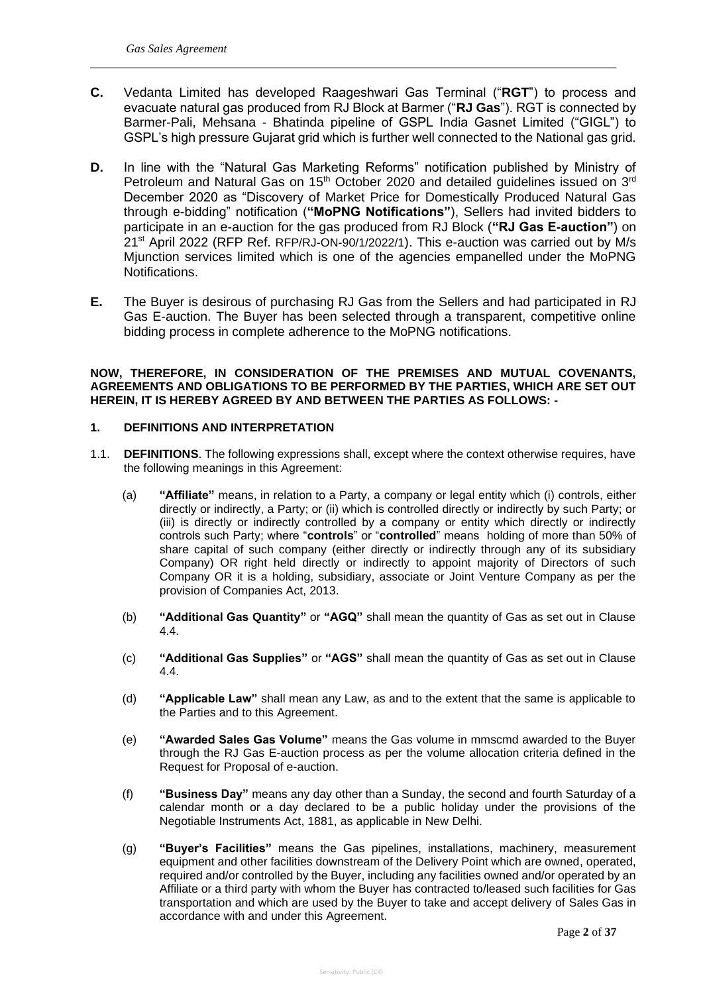- **C.** Vedanta Limited has developed Raageshwari Gas Terminal ("**RGT**") to process and evacuate natural gas produced from RJ Block at Barmer ("**RJ Gas**"). RGT is connected by Barmer-Pali, Mehsana - Bhatinda pipeline of GSPL India Gasnet Limited ("GIGL") to GSPL's high pressure Gujarat grid which is further well connected to the National gas grid.
- **D.** In line with the "Natural Gas Marketing Reforms" notification published by Ministry of Petroleum and Natural Gas on 15<sup>th</sup> October 2020 and detailed guidelines issued on  $3<sup>rd</sup>$ December 2020 as "Discovery of Market Price for Domestically Produced Natural Gas through e-bidding" notification (**"MoPNG Notifications"**), Sellers had invited bidders to participate in an e-auction for the gas produced from RJ Block (**"RJ Gas E-auction"**) on 21st April 2022 (RFP Ref. RFP/RJ-ON-90/1/2022/1). This e-auction was carried out by M/s Mjunction services limited which is one of the agencies empanelled under the MoPNG Notifications.
- **E.** The Buyer is desirous of purchasing RJ Gas from the Sellers and had participated in RJ Gas E-auction. The Buyer has been selected through a transparent, competitive online bidding process in complete adherence to the MoPNG notifications.

## **NOW, THEREFORE, IN CONSIDERATION OF THE PREMISES AND MUTUAL COVENANTS, AGREEMENTS AND OBLIGATIONS TO BE PERFORMED BY THE PARTIES, WHICH ARE SET OUT HEREIN, IT IS HEREBY AGREED BY AND BETWEEN THE PARTIES AS FOLLOWS: -**

## **1. DEFINITIONS AND INTERPRETATION**

- 1.1. **DEFINITIONS**. The following expressions shall, except where the context otherwise requires, have the following meanings in this Agreement:
	- (a) **"Affiliate"** means, in relation to a Party, a company or legal entity which (i) controls, either directly or indirectly, a Party; or (ii) which is controlled directly or indirectly by such Party; or (iii) is directly or indirectly controlled by a company or entity which directly or indirectly controls such Party; where "**controls**" or "**controlled**" means holding of more than 50% of share capital of such company (either directly or indirectly through any of its subsidiary Company) OR right held directly or indirectly to appoint majority of Directors of such Company OR it is a holding, subsidiary, associate or Joint Venture Company as per the provision of Companies Act, 2013.
	- (b) **"Additional Gas Quantity"** or **"AGQ"** shall mean the quantity of Gas as set out in Clause 4.4.
	- (c) **"Additional Gas Supplies"** or **"AGS"** shall mean the quantity of Gas as set out in Clause 4.4.
	- (d) **"Applicable Law"** shall mean any Law, as and to the extent that the same is applicable to the Parties and to this Agreement.
	- (e) **"Awarded Sales Gas Volume"** means the Gas volume in mmscmd awarded to the Buyer through the RJ Gas E-auction process as per the volume allocation criteria defined in the Request for Proposal of e-auction.
	- (f) **"Business Day"** means any day other than a Sunday, the second and fourth Saturday of a calendar month or a day declared to be a public holiday under the provisions of the Negotiable Instruments Act, 1881, as applicable in New Delhi.
	- (g) **"Buyer's Facilities"** means the Gas pipelines, installations, machinery, measurement equipment and other facilities downstream of the Delivery Point which are owned, operated, required and/or controlled by the Buyer, including any facilities owned and/or operated by an Affiliate or a third party with whom the Buyer has contracted to/leased such facilities for Gas transportation and which are used by the Buyer to take and accept delivery of Sales Gas in accordance with and under this Agreement.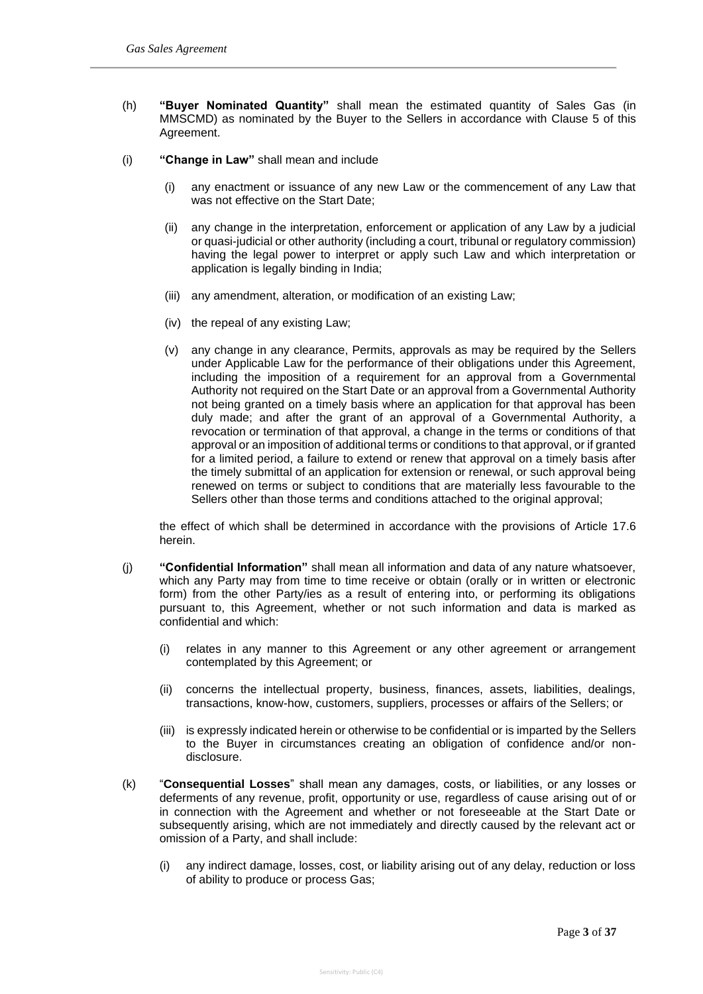- (h) **"Buyer Nominated Quantity"** shall mean the estimated quantity of Sales Gas (in MMSCMD) as nominated by the Buyer to the Sellers in accordance with Clause 5 of this Agreement.
- (i) **"Change in Law"** shall mean and include
	- (i) any enactment or issuance of any new Law or the commencement of any Law that was not effective on the Start Date;
	- (ii) any change in the interpretation, enforcement or application of any Law by a judicial or quasi-judicial or other authority (including a court, tribunal or regulatory commission) having the legal power to interpret or apply such Law and which interpretation or application is legally binding in India;
	- (iii) any amendment, alteration, or modification of an existing Law;
	- (iv) the repeal of any existing Law;
	- (v) any change in any clearance, Permits, approvals as may be required by the Sellers under Applicable Law for the performance of their obligations under this Agreement, including the imposition of a requirement for an approval from a Governmental Authority not required on the Start Date or an approval from a Governmental Authority not being granted on a timely basis where an application for that approval has been duly made; and after the grant of an approval of a Governmental Authority, a revocation or termination of that approval, a change in the terms or conditions of that approval or an imposition of additional terms or conditions to that approval, or if granted for a limited period, a failure to extend or renew that approval on a timely basis after the timely submittal of an application for extension or renewal, or such approval being renewed on terms or subject to conditions that are materially less favourable to the Sellers other than those terms and conditions attached to the original approval;

the effect of which shall be determined in accordance with the provisions of Article 17.6 herein.

- (j) **"Confidential Information"** shall mean all information and data of any nature whatsoever, which any Party may from time to time receive or obtain (orally or in written or electronic form) from the other Party/ies as a result of entering into, or performing its obligations pursuant to, this Agreement, whether or not such information and data is marked as confidential and which:
	- (i) relates in any manner to this Agreement or any other agreement or arrangement contemplated by this Agreement; or
	- (ii) concerns the intellectual property, business, finances, assets, liabilities, dealings, transactions, know-how, customers, suppliers, processes or affairs of the Sellers; or
	- (iii) is expressly indicated herein or otherwise to be confidential or is imparted by the Sellers to the Buyer in circumstances creating an obligation of confidence and/or nondisclosure.
- (k) "**Consequential Losses**" shall mean any damages, costs, or liabilities, or any losses or deferments of any revenue, profit, opportunity or use, regardless of cause arising out of or in connection with the Agreement and whether or not foreseeable at the Start Date or subsequently arising, which are not immediately and directly caused by the relevant act or omission of a Party, and shall include:
	- (i) any indirect damage, losses, cost, or liability arising out of any delay, reduction or loss of ability to produce or process Gas;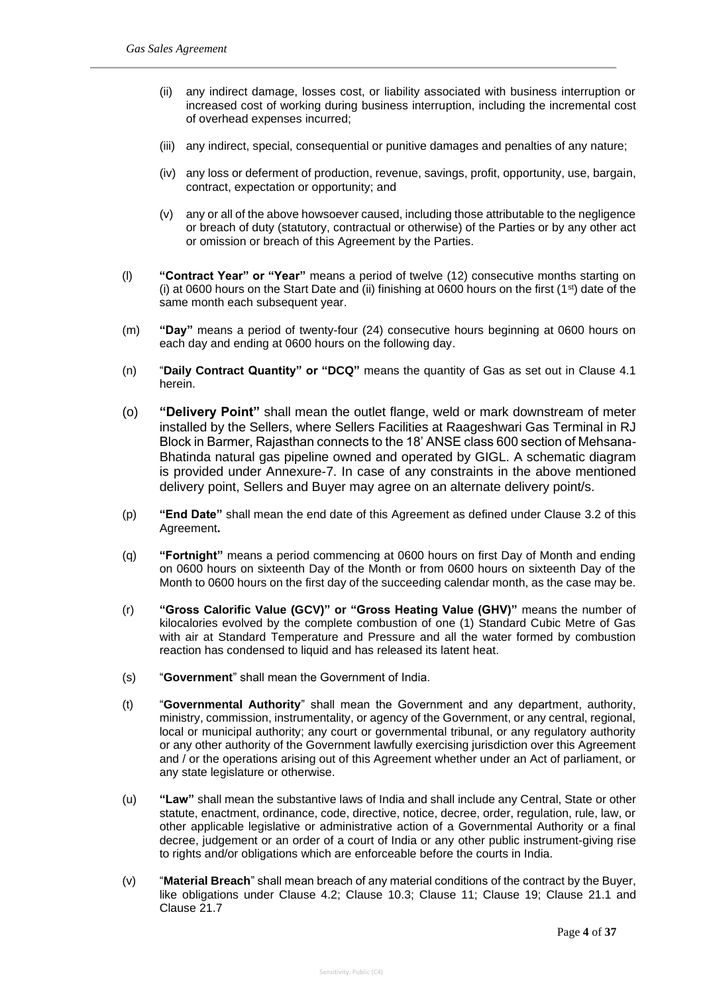- (ii) any indirect damage, losses cost, or liability associated with business interruption or increased cost of working during business interruption, including the incremental cost of overhead expenses incurred;
- (iii) any indirect, special, consequential or punitive damages and penalties of any nature;
- (iv) any loss or deferment of production, revenue, savings, profit, opportunity, use, bargain, contract, expectation or opportunity; and
- (v) any or all of the above howsoever caused, including those attributable to the negligence or breach of duty (statutory, contractual or otherwise) of the Parties or by any other act or omission or breach of this Agreement by the Parties.
- (l) **"Contract Year" or "Year"** means a period of twelve (12) consecutive months starting on (i) at 0600 hours on the Start Date and (ii) finishing at 0600 hours on the first  $(1<sup>st</sup>)$  date of the same month each subsequent year.
- (m) **"Day"** means a period of twenty-four (24) consecutive hours beginning at 0600 hours on each day and ending at 0600 hours on the following day.
- (n) "**Daily Contract Quantity" or "DCQ"** means the quantity of Gas as set out in Clause 4.1 herein.
- (o) **"Delivery Point"** shall mean the outlet flange, weld or mark downstream of meter installed by the Sellers, where Sellers Facilities at Raageshwari Gas Terminal in RJ Block in Barmer, Rajasthan connects to the 18' ANSE class 600 section of Mehsana-Bhatinda natural gas pipeline owned and operated by GIGL. A schematic diagram is provided under Annexure-7. In case of any constraints in the above mentioned delivery point, Sellers and Buyer may agree on an alternate delivery point/s.
- (p) **"End Date"** shall mean the end date of this Agreement as defined under Clause 3.2 of this Agreement**.**
- (q) **"Fortnight"** means a period commencing at 0600 hours on first Day of Month and ending on 0600 hours on sixteenth Day of the Month or from 0600 hours on sixteenth Day of the Month to 0600 hours on the first day of the succeeding calendar month, as the case may be.
- (r) **"Gross Calorific Value (GCV)" or "Gross Heating Value (GHV)"** means the number of kilocalories evolved by the complete combustion of one (1) Standard Cubic Metre of Gas with air at Standard Temperature and Pressure and all the water formed by combustion reaction has condensed to liquid and has released its latent heat.
- (s) "**Government**" shall mean the Government of India.
- (t) "**Governmental Authority**" shall mean the Government and any department, authority, ministry, commission, instrumentality, or agency of the Government, or any central, regional, local or municipal authority; any court or governmental tribunal, or any regulatory authority or any other authority of the Government lawfully exercising jurisdiction over this Agreement and / or the operations arising out of this Agreement whether under an Act of parliament, or any state legislature or otherwise.
- (u) **"Law"** shall mean the substantive laws of India and shall include any Central, State or other statute, enactment, ordinance, code, directive, notice, decree, order, regulation, rule, law, or other applicable legislative or administrative action of a Governmental Authority or a final decree, judgement or an order of a court of India or any other public instrument-giving rise to rights and/or obligations which are enforceable before the courts in India.
- (v) "**Material Breach**" shall mean breach of any material conditions of the contract by the Buyer, like obligations under Clause 4.2; Clause 10.3; Clause 11; Clause 19; Clause 21.1 and Clause 21.7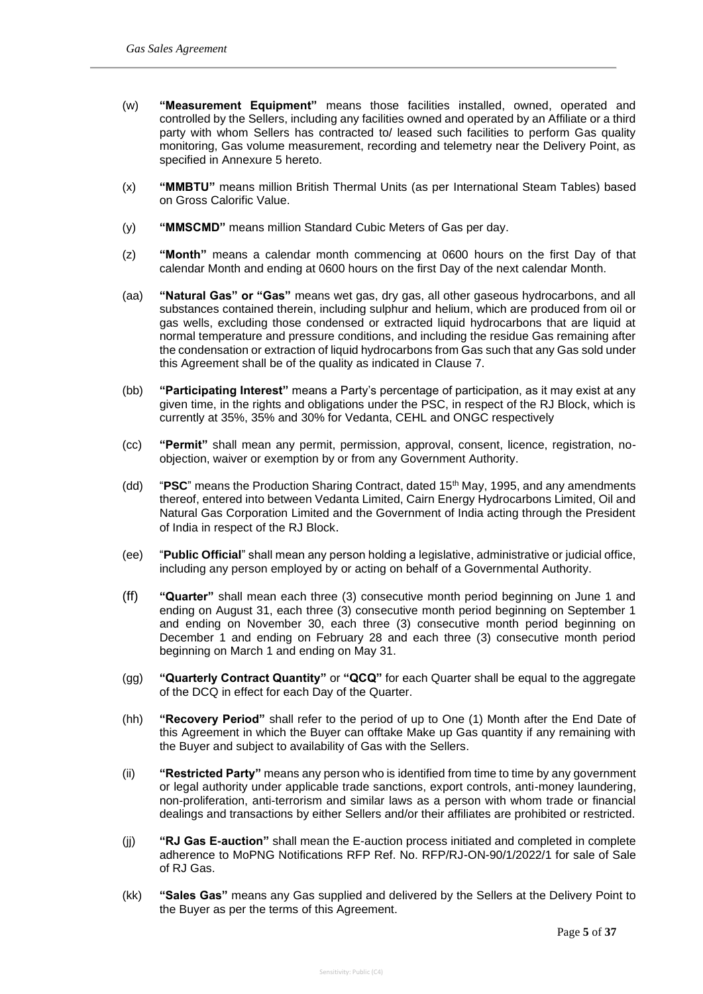- (w) **"Measurement Equipment"** means those facilities installed, owned, operated and controlled by the Sellers, including any facilities owned and operated by an Affiliate or a third party with whom Sellers has contracted to/ leased such facilities to perform Gas quality monitoring, Gas volume measurement, recording and telemetry near the Delivery Point, as specified in Annexure 5 hereto.
- (x) **"MMBTU"** means million British Thermal Units (as per International Steam Tables) based on Gross Calorific Value.
- (y) **"MMSCMD"** means million Standard Cubic Meters of Gas per day.
- (z) **"Month"** means a calendar month commencing at 0600 hours on the first Day of that calendar Month and ending at 0600 hours on the first Day of the next calendar Month.
- (aa) **"Natural Gas" or "Gas"** means wet gas, dry gas, all other gaseous hydrocarbons, and all substances contained therein, including sulphur and helium, which are produced from oil or gas wells, excluding those condensed or extracted liquid hydrocarbons that are liquid at normal temperature and pressure conditions, and including the residue Gas remaining after the condensation or extraction of liquid hydrocarbons from Gas such that any Gas sold under this Agreement shall be of the quality as indicated in Clause 7.
- (bb) **"Participating Interest"** means a Party's percentage of participation, as it may exist at any given time, in the rights and obligations under the PSC, in respect of the RJ Block, which is currently at 35%, 35% and 30% for Vedanta, CEHL and ONGC respectively
- (cc) **"Permit"** shall mean any permit, permission, approval, consent, licence, registration, noobjection, waiver or exemption by or from any Government Authority.
- (dd) "**PSC**" means the Production Sharing Contract, dated 15th May, 1995, and any amendments thereof, entered into between Vedanta Limited, Cairn Energy Hydrocarbons Limited, Oil and Natural Gas Corporation Limited and the Government of India acting through the President of India in respect of the RJ Block.
- (ee) "**Public Official**" shall mean any person holding a legislative, administrative or judicial office, including any person employed by or acting on behalf of a Governmental Authority.
- (ff) **"Quarter"** shall mean each three (3) consecutive month period beginning on June 1 and ending on August 31, each three (3) consecutive month period beginning on September 1 and ending on November 30, each three (3) consecutive month period beginning on December 1 and ending on February 28 and each three (3) consecutive month period beginning on March 1 and ending on May 31.
- (gg) **"Quarterly Contract Quantity"** or **"QCQ"** for each Quarter shall be equal to the aggregate of the DCQ in effect for each Day of the Quarter.
- (hh) **"Recovery Period"** shall refer to the period of up to One (1) Month after the End Date of this Agreement in which the Buyer can offtake Make up Gas quantity if any remaining with the Buyer and subject to availability of Gas with the Sellers.
- (ii) **"Restricted Party"** means any person who is identified from time to time by any government or legal authority under applicable trade sanctions, export controls, anti-money laundering, non-proliferation, anti-terrorism and similar laws as a person with whom trade or financial dealings and transactions by either Sellers and/or their affiliates are prohibited or restricted.
- (jj) **"RJ Gas E-auction"** shall mean the E-auction process initiated and completed in complete adherence to MoPNG Notifications RFP Ref. No. RFP/RJ-ON-90/1/2022/1 for sale of Sale of RJ Gas.
- (kk) **"Sales Gas"** means any Gas supplied and delivered by the Sellers at the Delivery Point to the Buyer as per the terms of this Agreement.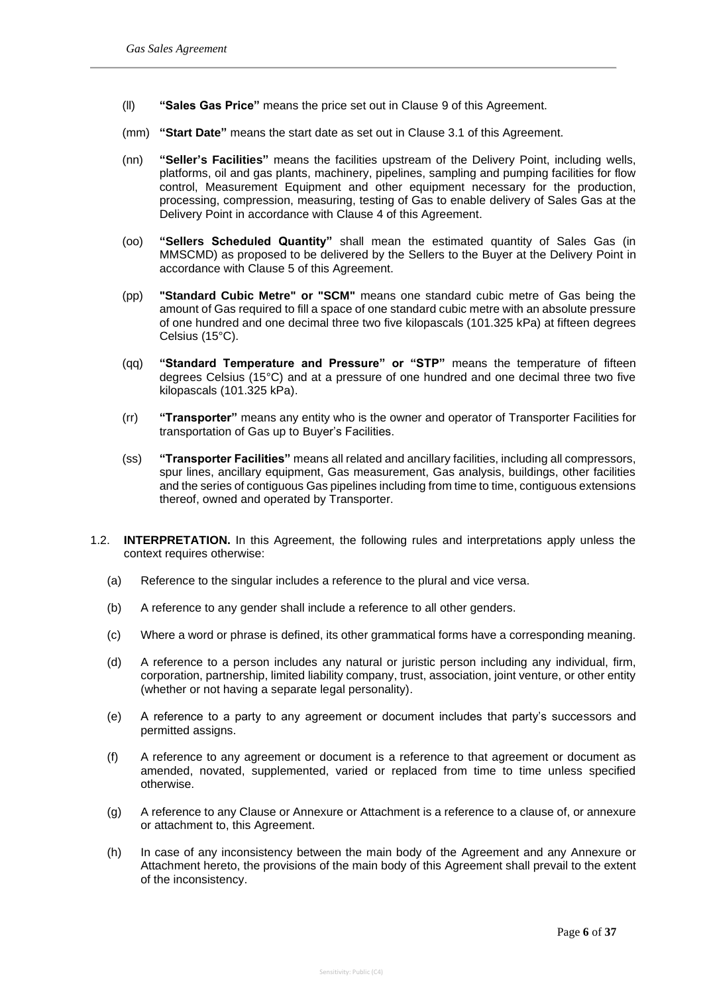- (ll) **"Sales Gas Price"** means the price set out in Clause 9 of this Agreement.
- (mm) **"Start Date"** means the start date as set out in Clause 3.1 of this Agreement.
- (nn) **"Seller's Facilities"** means the facilities upstream of the Delivery Point, including wells, platforms, oil and gas plants, machinery, pipelines, sampling and pumping facilities for flow control, Measurement Equipment and other equipment necessary for the production, processing, compression, measuring, testing of Gas to enable delivery of Sales Gas at the Delivery Point in accordance with Clause 4 of this Agreement.
- (oo) **"Sellers Scheduled Quantity"** shall mean the estimated quantity of Sales Gas (in MMSCMD) as proposed to be delivered by the Sellers to the Buyer at the Delivery Point in accordance with Clause 5 of this Agreement.
- (pp) **"Standard Cubic Metre" or "SCM"** means one standard cubic metre of Gas being the amount of Gas required to fill a space of one standard cubic metre with an absolute pressure of one hundred and one decimal three two five kilopascals (101.325 kPa) at fifteen degrees Celsius (15°C).
- (qq) **"Standard Temperature and Pressure" or "STP"** means the temperature of fifteen degrees Celsius (15°C) and at a pressure of one hundred and one decimal three two five kilopascals (101.325 kPa).
- (rr) **"Transporter"** means any entity who is the owner and operator of Transporter Facilities for transportation of Gas up to Buyer's Facilities.
- (ss) **"Transporter Facilities"** means all related and ancillary facilities, including all compressors, spur lines, ancillary equipment, Gas measurement, Gas analysis, buildings, other facilities and the series of contiguous Gas pipelines including from time to time, contiguous extensions thereof, owned and operated by Transporter.
- 1.2. **INTERPRETATION.** In this Agreement, the following rules and interpretations apply unless the context requires otherwise:
	- (a) Reference to the singular includes a reference to the plural and vice versa.
	- (b) A reference to any gender shall include a reference to all other genders.
	- (c) Where a word or phrase is defined, its other grammatical forms have a corresponding meaning.
	- (d) A reference to a person includes any natural or juristic person including any individual, firm, corporation, partnership, limited liability company, trust, association, joint venture, or other entity (whether or not having a separate legal personality).
	- (e) A reference to a party to any agreement or document includes that party's successors and permitted assigns.
	- (f) A reference to any agreement or document is a reference to that agreement or document as amended, novated, supplemented, varied or replaced from time to time unless specified otherwise.
	- (g) A reference to any Clause or Annexure or Attachment is a reference to a clause of, or annexure or attachment to, this Agreement.
	- (h) In case of any inconsistency between the main body of the Agreement and any Annexure or Attachment hereto, the provisions of the main body of this Agreement shall prevail to the extent of the inconsistency.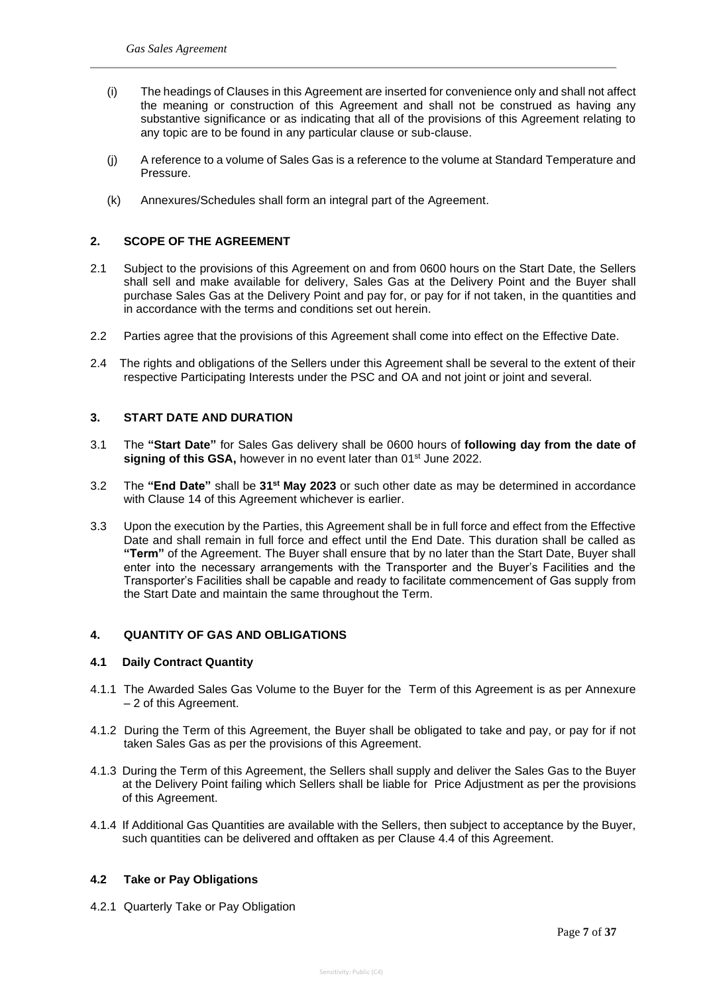- (i) The headings of Clauses in this Agreement are inserted for convenience only and shall not affect the meaning or construction of this Agreement and shall not be construed as having any substantive significance or as indicating that all of the provisions of this Agreement relating to any topic are to be found in any particular clause or sub-clause.
- (j) A reference to a volume of Sales Gas is a reference to the volume at Standard Temperature and Pressure.
- (k) Annexures/Schedules shall form an integral part of the Agreement.

## **2. SCOPE OF THE AGREEMENT**

- 2.1 Subject to the provisions of this Agreement on and from 0600 hours on the Start Date, the Sellers shall sell and make available for delivery, Sales Gas at the Delivery Point and the Buyer shall purchase Sales Gas at the Delivery Point and pay for, or pay for if not taken, in the quantities and in accordance with the terms and conditions set out herein.
- 2.2 Parties agree that the provisions of this Agreement shall come into effect on the Effective Date.
- 2.4 The rights and obligations of the Sellers under this Agreement shall be several to the extent of their respective Participating Interests under the PSC and OA and not joint or joint and several.

## **3. START DATE AND DURATION**

- 3.1 The **"Start Date"** for Sales Gas delivery shall be 0600 hours of **following day from the date of**  signing of this GSA, however in no event later than 01<sup>st</sup> June 2022.
- 3.2 The **"End Date"** shall be **31st May 2023** or such other date as may be determined in accordance with Clause 14 of this Agreement whichever is earlier.
- 3.3 Upon the execution by the Parties, this Agreement shall be in full force and effect from the Effective Date and shall remain in full force and effect until the End Date. This duration shall be called as **"Term"** of the Agreement. The Buyer shall ensure that by no later than the Start Date, Buyer shall enter into the necessary arrangements with the Transporter and the Buyer's Facilities and the Transporter's Facilities shall be capable and ready to facilitate commencement of Gas supply from the Start Date and maintain the same throughout the Term.

#### **4. QUANTITY OF GAS AND OBLIGATIONS**

#### **4.1 Daily Contract Quantity**

- 4.1.1 The Awarded Sales Gas Volume to the Buyer for the Term of this Agreement is as per Annexure – 2 of this Agreement.
- 4.1.2 During the Term of this Agreement, the Buyer shall be obligated to take and pay, or pay for if not taken Sales Gas as per the provisions of this Agreement.
- 4.1.3 During the Term of this Agreement, the Sellers shall supply and deliver the Sales Gas to the Buyer at the Delivery Point failing which Sellers shall be liable for Price Adjustment as per the provisions of this Agreement.
- 4.1.4 If Additional Gas Quantities are available with the Sellers, then subject to acceptance by the Buyer, such quantities can be delivered and offtaken as per Clause 4.4 of this Agreement.

#### **4.2 Take or Pay Obligations**

4.2.1 Quarterly Take or Pay Obligation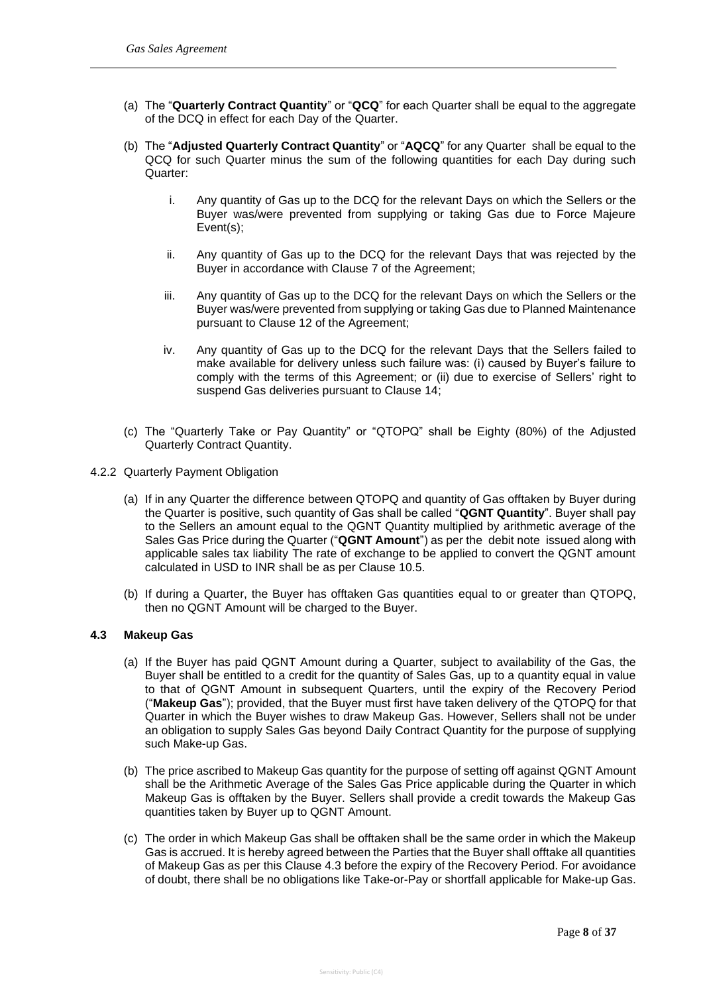- (a) The "**Quarterly Contract Quantity**" or "**QCQ**" for each Quarter shall be equal to the aggregate of the DCQ in effect for each Day of the Quarter.
- (b) The "**Adjusted Quarterly Contract Quantity**" or "**AQCQ**" for any Quarter shall be equal to the QCQ for such Quarter minus the sum of the following quantities for each Day during such Quarter:
	- i. Any quantity of Gas up to the DCQ for the relevant Days on which the Sellers or the Buyer was/were prevented from supplying or taking Gas due to Force Majeure Event(s);
	- ii. Any quantity of Gas up to the DCQ for the relevant Days that was rejected by the Buyer in accordance with Clause 7 of the Agreement;
	- iii. Any quantity of Gas up to the DCQ for the relevant Days on which the Sellers or the Buyer was/were prevented from supplying or taking Gas due to Planned Maintenance pursuant to Clause 12 of the Agreement;
	- iv. Any quantity of Gas up to the DCQ for the relevant Days that the Sellers failed to make available for delivery unless such failure was: (i) caused by Buyer's failure to comply with the terms of this Agreement; or (ii) due to exercise of Sellers' right to suspend Gas deliveries pursuant to Clause 14;
- (c) The "Quarterly Take or Pay Quantity" or "QTOPQ" shall be Eighty (80%) of the Adjusted Quarterly Contract Quantity.
- 4.2.2 Quarterly Payment Obligation
	- (a) If in any Quarter the difference between QTOPQ and quantity of Gas offtaken by Buyer during the Quarter is positive, such quantity of Gas shall be called "**QGNT Quantity**". Buyer shall pay to the Sellers an amount equal to the QGNT Quantity multiplied by arithmetic average of the Sales Gas Price during the Quarter ("**QGNT Amount**") as per the debit note issued along with applicable sales tax liability The rate of exchange to be applied to convert the QGNT amount calculated in USD to INR shall be as per Clause 10.5.
	- (b) If during a Quarter, the Buyer has offtaken Gas quantities equal to or greater than QTOPQ, then no QGNT Amount will be charged to the Buyer.

#### **4.3 Makeup Gas**

- (a) If the Buyer has paid QGNT Amount during a Quarter, subject to availability of the Gas, the Buyer shall be entitled to a credit for the quantity of Sales Gas, up to a quantity equal in value to that of QGNT Amount in subsequent Quarters, until the expiry of the Recovery Period ("**Makeup Gas**"); provided, that the Buyer must first have taken delivery of the QTOPQ for that Quarter in which the Buyer wishes to draw Makeup Gas. However, Sellers shall not be under an obligation to supply Sales Gas beyond Daily Contract Quantity for the purpose of supplying such Make-up Gas.
- (b) The price ascribed to Makeup Gas quantity for the purpose of setting off against QGNT Amount shall be the Arithmetic Average of the Sales Gas Price applicable during the Quarter in which Makeup Gas is offtaken by the Buyer. Sellers shall provide a credit towards the Makeup Gas quantities taken by Buyer up to QGNT Amount.
- (c) The order in which Makeup Gas shall be offtaken shall be the same order in which the Makeup Gas is accrued. It is hereby agreed between the Parties that the Buyer shall offtake all quantities of Makeup Gas as per this Clause 4.3 before the expiry of the Recovery Period. For avoidance of doubt, there shall be no obligations like Take-or-Pay or shortfall applicable for Make-up Gas.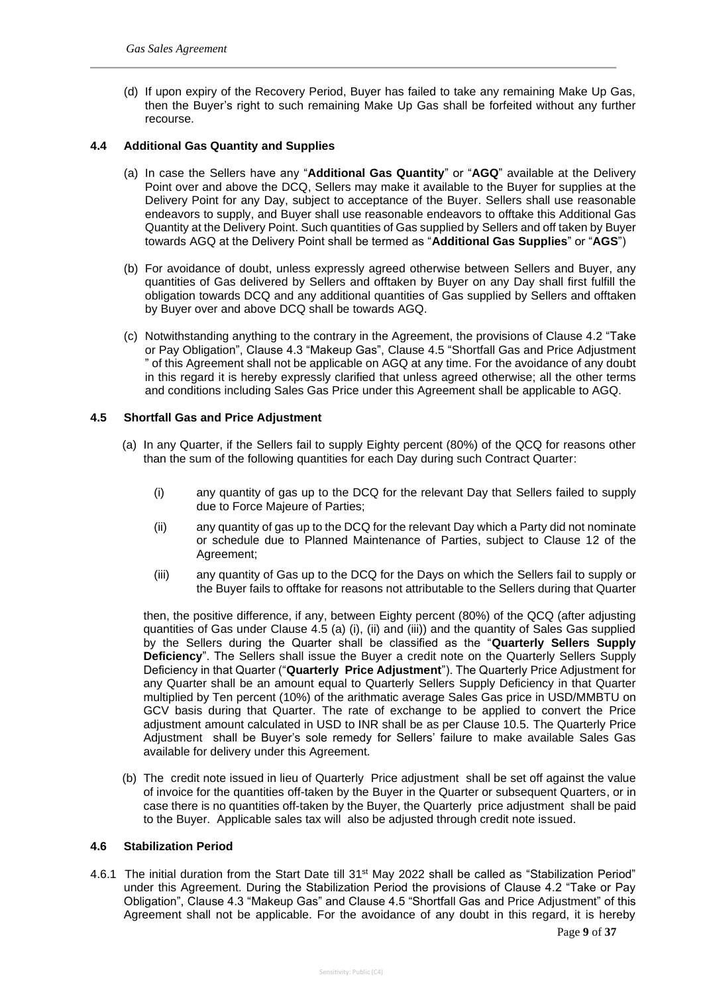(d) If upon expiry of the Recovery Period, Buyer has failed to take any remaining Make Up Gas, then the Buyer's right to such remaining Make Up Gas shall be forfeited without any further recourse.

## **4.4 Additional Gas Quantity and Supplies**

- (a) In case the Sellers have any "**Additional Gas Quantity**" or "**AGQ**" available at the Delivery Point over and above the DCQ, Sellers may make it available to the Buyer for supplies at the Delivery Point for any Day, subject to acceptance of the Buyer. Sellers shall use reasonable endeavors to supply, and Buyer shall use reasonable endeavors to offtake this Additional Gas Quantity at the Delivery Point. Such quantities of Gas supplied by Sellers and off taken by Buyer towards AGQ at the Delivery Point shall be termed as "**Additional Gas Supplies**" or "**AGS**")
- (b) For avoidance of doubt, unless expressly agreed otherwise between Sellers and Buyer, any quantities of Gas delivered by Sellers and offtaken by Buyer on any Day shall first fulfill the obligation towards DCQ and any additional quantities of Gas supplied by Sellers and offtaken by Buyer over and above DCQ shall be towards AGQ.
- (c) Notwithstanding anything to the contrary in the Agreement, the provisions of Clause 4.2 "Take or Pay Obligation", Clause 4.3 "Makeup Gas", Clause 4.5 "Shortfall Gas and Price Adjustment " of this Agreement shall not be applicable on AGQ at any time. For the avoidance of any doubt in this regard it is hereby expressly clarified that unless agreed otherwise; all the other terms and conditions including Sales Gas Price under this Agreement shall be applicable to AGQ.

#### **4.5 Shortfall Gas and Price Adjustment**

- (a) In any Quarter, if the Sellers fail to supply Eighty percent (80%) of the QCQ for reasons other than the sum of the following quantities for each Day during such Contract Quarter:
	- (i) any quantity of gas up to the DCQ for the relevant Day that Sellers failed to supply due to Force Majeure of Parties;
	- (ii) any quantity of gas up to the DCQ for the relevant Day which a Party did not nominate or schedule due to Planned Maintenance of Parties, subject to Clause 12 of the Agreement;
	- (iii) any quantity of Gas up to the DCQ for the Days on which the Sellers fail to supply or the Buyer fails to offtake for reasons not attributable to the Sellers during that Quarter

then, the positive difference, if any, between Eighty percent (80%) of the QCQ (after adjusting quantities of Gas under Clause 4.5 (a) (i), (ii) and (iii)) and the quantity of Sales Gas supplied by the Sellers during the Quarter shall be classified as the "**Quarterly Sellers Supply Deficiency**". The Sellers shall issue the Buyer a credit note on the Quarterly Sellers Supply Deficiency in that Quarter ("**Quarterly Price Adjustment**"). The Quarterly Price Adjustment for any Quarter shall be an amount equal to Quarterly Sellers Supply Deficiency in that Quarter multiplied by Ten percent (10%) of the arithmatic average Sales Gas price in USD/MMBTU on GCV basis during that Quarter. The rate of exchange to be applied to convert the Price adjustment amount calculated in USD to INR shall be as per Clause 10.5. The Quarterly Price Adjustment shall be Buyer's sole remedy for Sellers' failure to make available Sales Gas available for delivery under this Agreement.

(b) The credit note issued in lieu of Quarterly Price adjustment shall be set off against the value of invoice for the quantities off-taken by the Buyer in the Quarter or subsequent Quarters, or in case there is no quantities off-taken by the Buyer, the Quarterly price adjustment shall be paid to the Buyer. Applicable sales tax will also be adjusted through credit note issued.

## **4.6 Stabilization Period**

4.6.1 The initial duration from the Start Date till 31st May 2022 shall be called as "Stabilization Period" under this Agreement. During the Stabilization Period the provisions of Clause 4.2 "Take or Pay Obligation", Clause 4.3 "Makeup Gas" and Clause 4.5 "Shortfall Gas and Price Adjustment" of this Agreement shall not be applicable. For the avoidance of any doubt in this regard, it is hereby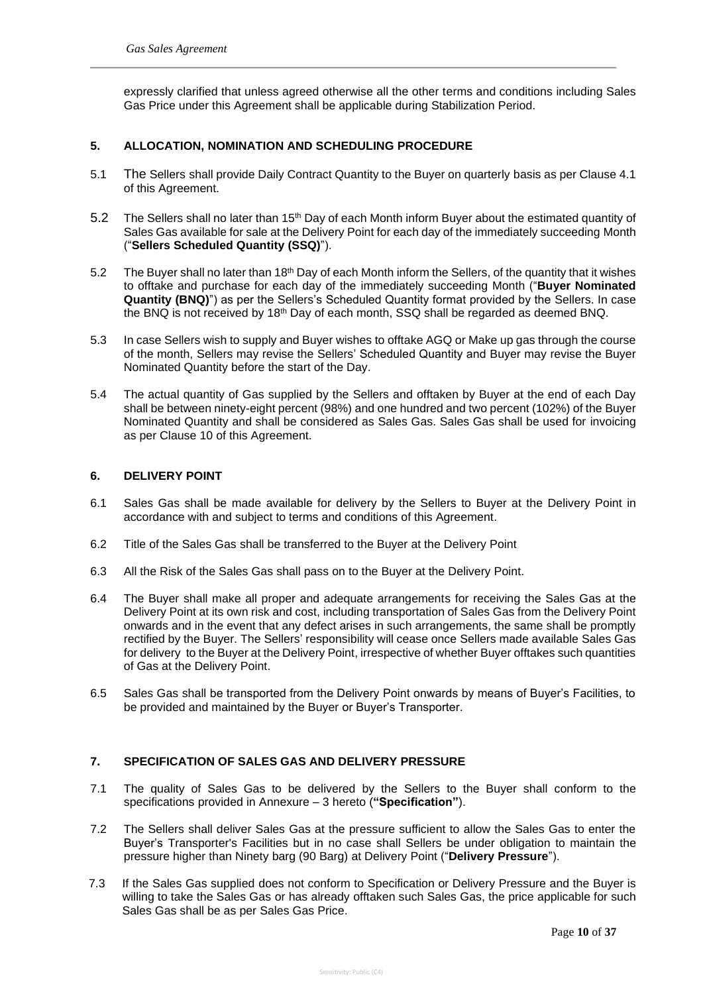expressly clarified that unless agreed otherwise all the other terms and conditions including Sales Gas Price under this Agreement shall be applicable during Stabilization Period.

## **5. ALLOCATION, NOMINATION AND SCHEDULING PROCEDURE**

- 5.1 The Sellers shall provide Daily Contract Quantity to the Buyer on quarterly basis as per Clause 4.1 of this Agreement.
- 5.2 The Sellers shall no later than 15<sup>th</sup> Day of each Month inform Buyer about the estimated quantity of Sales Gas available for sale at the Delivery Point for each day of the immediately succeeding Month ("**Sellers Scheduled Quantity (SSQ)**").
- 5.2 The Buyer shall no later than 18<sup>th</sup> Day of each Month inform the Sellers, of the quantity that it wishes to offtake and purchase for each day of the immediately succeeding Month ("**Buyer Nominated Quantity (BNQ)**") as per the Sellers's Scheduled Quantity format provided by the Sellers. In case the BNQ is not received by 18<sup>th</sup> Day of each month, SSQ shall be regarded as deemed BNQ.
- 5.3 In case Sellers wish to supply and Buyer wishes to offtake AGQ or Make up gas through the course of the month, Sellers may revise the Sellers' Scheduled Quantity and Buyer may revise the Buyer Nominated Quantity before the start of the Day.
- 5.4 The actual quantity of Gas supplied by the Sellers and offtaken by Buyer at the end of each Day shall be between ninety-eight percent (98%) and one hundred and two percent (102%) of the Buyer Nominated Quantity and shall be considered as Sales Gas. Sales Gas shall be used for invoicing as per Clause 10 of this Agreement.

## **6. DELIVERY POINT**

- 6.1 Sales Gas shall be made available for delivery by the Sellers to Buyer at the Delivery Point in accordance with and subject to terms and conditions of this Agreement.
- 6.2 Title of the Sales Gas shall be transferred to the Buyer at the Delivery Point
- 6.3 All the Risk of the Sales Gas shall pass on to the Buyer at the Delivery Point.
- 6.4 The Buyer shall make all proper and adequate arrangements for receiving the Sales Gas at the Delivery Point at its own risk and cost, including transportation of Sales Gas from the Delivery Point onwards and in the event that any defect arises in such arrangements, the same shall be promptly rectified by the Buyer. The Sellers' responsibility will cease once Sellers made available Sales Gas for delivery to the Buyer at the Delivery Point, irrespective of whether Buyer offtakes such quantities of Gas at the Delivery Point.
- 6.5 Sales Gas shall be transported from the Delivery Point onwards by means of Buyer's Facilities, to be provided and maintained by the Buyer or Buyer's Transporter.

## **7. SPECIFICATION OF SALES GAS AND DELIVERY PRESSURE**

- 7.1 The quality of Sales Gas to be delivered by the Sellers to the Buyer shall conform to the specifications provided in Annexure – 3 hereto (**"Specification"**).
- 7.2 The Sellers shall deliver Sales Gas at the pressure sufficient to allow the Sales Gas to enter the Buyer's Transporter's Facilities but in no case shall Sellers be under obligation to maintain the pressure higher than Ninety barg (90 Barg) at Delivery Point ("**Delivery Pressure**").
- 7.3 If the Sales Gas supplied does not conform to Specification or Delivery Pressure and the Buyer is willing to take the Sales Gas or has already offtaken such Sales Gas, the price applicable for such Sales Gas shall be as per Sales Gas Price.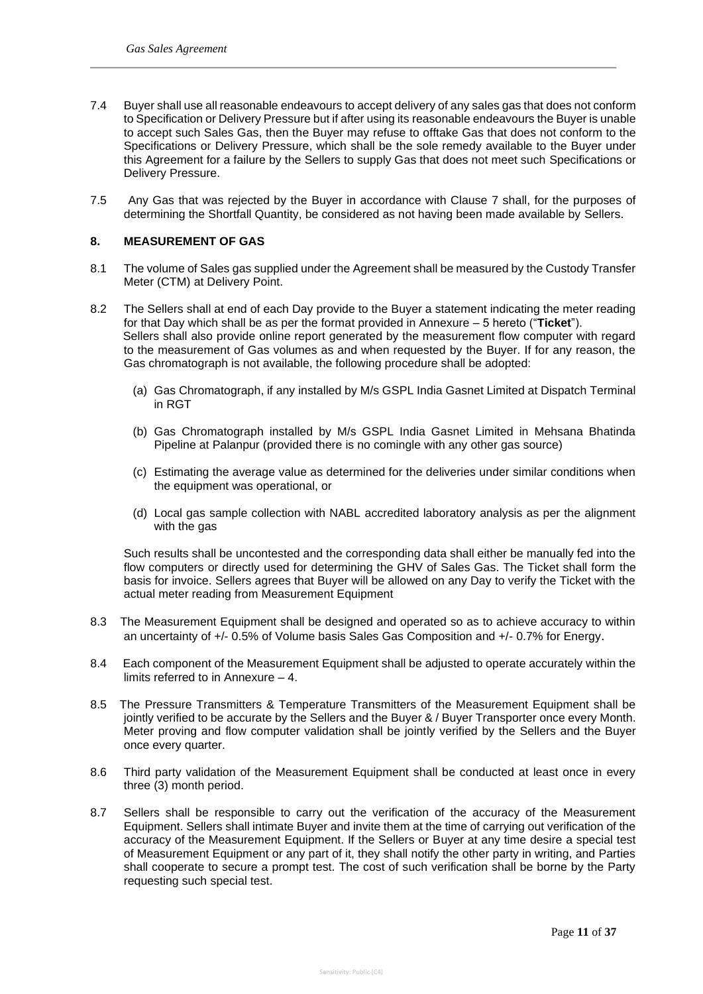- 7.4 Buyer shall use all reasonable endeavours to accept delivery of any sales gas that does not conform to Specification or Delivery Pressure but if after using its reasonable endeavours the Buyer is unable to accept such Sales Gas, then the Buyer may refuse to offtake Gas that does not conform to the Specifications or Delivery Pressure, which shall be the sole remedy available to the Buyer under this Agreement for a failure by the Sellers to supply Gas that does not meet such Specifications or Delivery Pressure.
- 7.5 Any Gas that was rejected by the Buyer in accordance with Clause 7 shall, for the purposes of determining the Shortfall Quantity, be considered as not having been made available by Sellers.

## **8. MEASUREMENT OF GAS**

- 8.1 The volume of Sales gas supplied under the Agreement shall be measured by the Custody Transfer Meter (CTM) at Delivery Point.
- 8.2 The Sellers shall at end of each Day provide to the Buyer a statement indicating the meter reading for that Day which shall be as per the format provided in Annexure – 5 hereto ("**Ticket**"). Sellers shall also provide online report generated by the measurement flow computer with regard to the measurement of Gas volumes as and when requested by the Buyer. If for any reason, the Gas chromatograph is not available, the following procedure shall be adopted:
	- (a) Gas Chromatograph, if any installed by M/s GSPL India Gasnet Limited at Dispatch Terminal in RGT
	- (b) Gas Chromatograph installed by M/s GSPL India Gasnet Limited in Mehsana Bhatinda Pipeline at Palanpur (provided there is no comingle with any other gas source)
	- (c) Estimating the average value as determined for the deliveries under similar conditions when the equipment was operational, or
	- (d) Local gas sample collection with NABL accredited laboratory analysis as per the alignment with the gas

Such results shall be uncontested and the corresponding data shall either be manually fed into the flow computers or directly used for determining the GHV of Sales Gas. The Ticket shall form the basis for invoice. Sellers agrees that Buyer will be allowed on any Day to verify the Ticket with the actual meter reading from Measurement Equipment

- 8.3 The Measurement Equipment shall be designed and operated so as to achieve accuracy to within an uncertainty of +/- 0.5% of Volume basis Sales Gas Composition and +/- 0.7% for Energy.
- 8.4 Each component of the Measurement Equipment shall be adjusted to operate accurately within the limits referred to in Annexure – 4.
- 8.5 The Pressure Transmitters & Temperature Transmitters of the Measurement Equipment shall be jointly verified to be accurate by the Sellers and the Buyer & / Buyer Transporter once every Month. Meter proving and flow computer validation shall be jointly verified by the Sellers and the Buyer once every quarter.
- 8.6 Third party validation of the Measurement Equipment shall be conducted at least once in every three (3) month period.
- 8.7 Sellers shall be responsible to carry out the verification of the accuracy of the Measurement Equipment. Sellers shall intimate Buyer and invite them at the time of carrying out verification of the accuracy of the Measurement Equipment. If the Sellers or Buyer at any time desire a special test of Measurement Equipment or any part of it, they shall notify the other party in writing, and Parties shall cooperate to secure a prompt test. The cost of such verification shall be borne by the Party requesting such special test.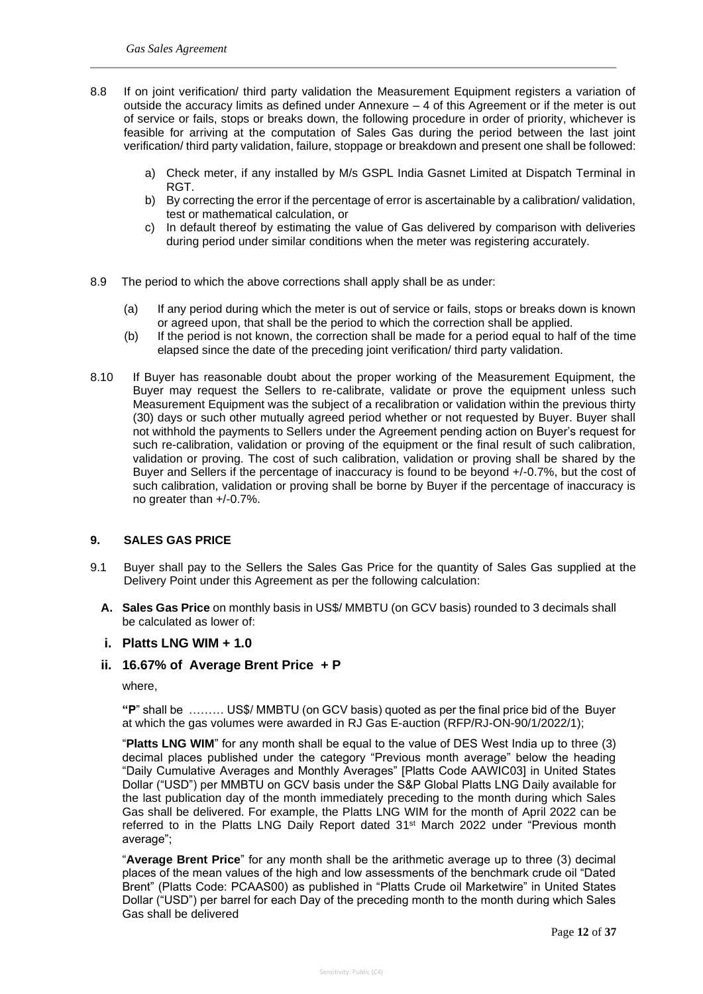- 8.8 If on joint verification/ third party validation the Measurement Equipment registers a variation of outside the accuracy limits as defined under Annexure – 4 of this Agreement or if the meter is out of service or fails, stops or breaks down, the following procedure in order of priority, whichever is feasible for arriving at the computation of Sales Gas during the period between the last joint verification/ third party validation, failure, stoppage or breakdown and present one shall be followed:
	- a) Check meter, if any installed by M/s GSPL India Gasnet Limited at Dispatch Terminal in RGT.
	- b) By correcting the error if the percentage of error is ascertainable by a calibration/ validation, test or mathematical calculation, or
	- c) In default thereof by estimating the value of Gas delivered by comparison with deliveries during period under similar conditions when the meter was registering accurately.
- 8.9 The period to which the above corrections shall apply shall be as under:
	- (a) If any period during which the meter is out of service or fails, stops or breaks down is known or agreed upon, that shall be the period to which the correction shall be applied.
	- (b) If the period is not known, the correction shall be made for a period equal to half of the time elapsed since the date of the preceding joint verification/ third party validation.
- 8.10 If Buyer has reasonable doubt about the proper working of the Measurement Equipment, the Buyer may request the Sellers to re-calibrate, validate or prove the equipment unless such Measurement Equipment was the subject of a recalibration or validation within the previous thirty (30) days or such other mutually agreed period whether or not requested by Buyer. Buyer shall not withhold the payments to Sellers under the Agreement pending action on Buyer's request for such re-calibration, validation or proving of the equipment or the final result of such calibration, validation or proving. The cost of such calibration, validation or proving shall be shared by the Buyer and Sellers if the percentage of inaccuracy is found to be beyond +/-0.7%, but the cost of such calibration, validation or proving shall be borne by Buyer if the percentage of inaccuracy is no greater than +/-0.7%.

#### **9. SALES GAS PRICE**

- 9.1 Buyer shall pay to the Sellers the Sales Gas Price for the quantity of Sales Gas supplied at the Delivery Point under this Agreement as per the following calculation:
	- **A. Sales Gas Price** on monthly basis in US\$/ MMBTU (on GCV basis) rounded to 3 decimals shall be calculated as lower of:

## **i. Platts LNG WIM + 1.0**

## **ii. 16.67% of Average Brent Price + P**

where,

**"P**" shall be ……… US\$/ MMBTU (on GCV basis) quoted as per the final price bid of the Buyer at which the gas volumes were awarded in RJ Gas E-auction (RFP/RJ-ON-90/1/2022/1);

"**Platts LNG WIM**" for any month shall be equal to the value of DES West India up to three (3) decimal places published under the category "Previous month average" below the heading "Daily Cumulative Averages and Monthly Averages" [Platts Code AAWIC03] in United States Dollar ("USD") per MMBTU on GCV basis under the S&P Global Platts LNG Daily available for the last publication day of the month immediately preceding to the month during which Sales Gas shall be delivered. For example, the Platts LNG WIM for the month of April 2022 can be referred to in the Platts LNG Daily Report dated  $31<sup>st</sup>$  March 2022 under "Previous month average";

"**Average Brent Price**" for any month shall be the arithmetic average up to three (3) decimal places of the mean values of the high and low assessments of the benchmark crude oil "Dated Brent" (Platts Code: PCAAS00) as published in "Platts Crude oil Marketwire" in United States Dollar ("USD") per barrel for each Day of the preceding month to the month during which Sales Gas shall be delivered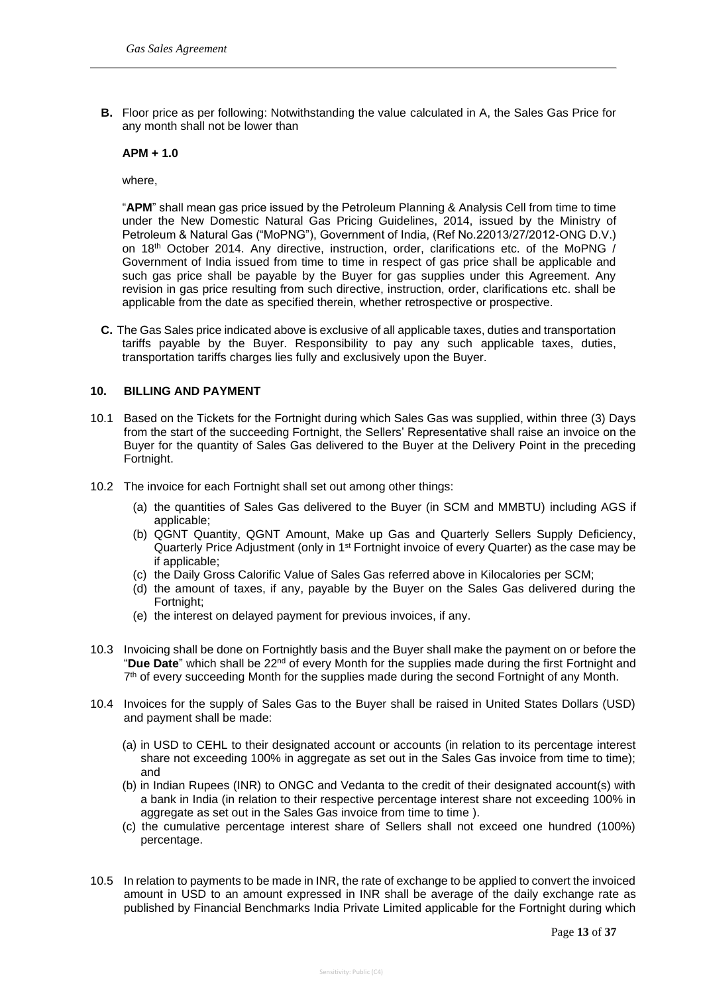**B.** Floor price as per following: Notwithstanding the value calculated in A, the Sales Gas Price for any month shall not be lower than

## **APM + 1.0**

where,

"**APM**" shall mean gas price issued by the Petroleum Planning & Analysis Cell from time to time under the New Domestic Natural Gas Pricing Guidelines, 2014, issued by the Ministry of Petroleum & Natural Gas ("MoPNG"), Government of India, (Ref No.22013/27/2012-ONG D.V.) on 18th October 2014. Any directive, instruction, order, clarifications etc. of the MoPNG / Government of India issued from time to time in respect of gas price shall be applicable and such gas price shall be payable by the Buyer for gas supplies under this Agreement. Any revision in gas price resulting from such directive, instruction, order, clarifications etc. shall be applicable from the date as specified therein, whether retrospective or prospective.

**C.** The Gas Sales price indicated above is exclusive of all applicable taxes, duties and transportation tariffs payable by the Buyer. Responsibility to pay any such applicable taxes, duties, transportation tariffs charges lies fully and exclusively upon the Buyer.

## **10. BILLING AND PAYMENT**

- 10.1 Based on the Tickets for the Fortnight during which Sales Gas was supplied, within three (3) Days from the start of the succeeding Fortnight, the Sellers' Representative shall raise an invoice on the Buyer for the quantity of Sales Gas delivered to the Buyer at the Delivery Point in the preceding Fortnight.
- 10.2 The invoice for each Fortnight shall set out among other things:
	- (a) the quantities of Sales Gas delivered to the Buyer (in SCM and MMBTU) including AGS if applicable;
	- (b) QGNT Quantity, QGNT Amount, Make up Gas and Quarterly Sellers Supply Deficiency, Quarterly Price Adjustment (only in 1st Fortnight invoice of every Quarter) as the case may be if applicable;
	- (c) the Daily Gross Calorific Value of Sales Gas referred above in Kilocalories per SCM;
	- (d) the amount of taxes, if any, payable by the Buyer on the Sales Gas delivered during the Fortnight;
	- (e) the interest on delayed payment for previous invoices, if any.
- 10.3 Invoicing shall be done on Fortnightly basis and the Buyer shall make the payment on or before the "Due Date" which shall be 22<sup>nd</sup> of every Month for the supplies made during the first Fortnight and 7<sup>th</sup> of every succeeding Month for the supplies made during the second Fortnight of any Month.
- 10.4 Invoices for the supply of Sales Gas to the Buyer shall be raised in United States Dollars (USD) and payment shall be made:
	- (a) in USD to CEHL to their designated account or accounts (in relation to its percentage interest share not exceeding 100% in aggregate as set out in the Sales Gas invoice from time to time); and
	- (b) in Indian Rupees (INR) to ONGC and Vedanta to the credit of their designated account(s) with a bank in India (in relation to their respective percentage interest share not exceeding 100% in aggregate as set out in the Sales Gas invoice from time to time).
	- (c) the cumulative percentage interest share of Sellers shall not exceed one hundred (100%) percentage.
- 10.5 In relation to payments to be made in INR, the rate of exchange to be applied to convert the invoiced amount in USD to an amount expressed in INR shall be average of the daily exchange rate as published by Financial Benchmarks India Private Limited applicable for the Fortnight during which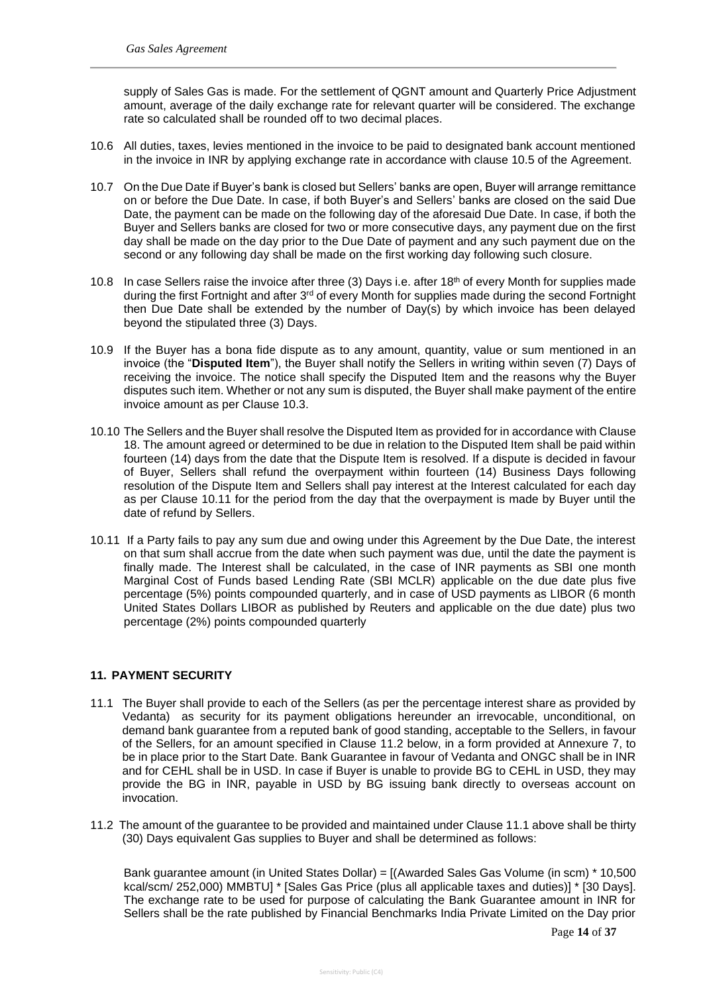supply of Sales Gas is made. For the settlement of QGNT amount and Quarterly Price Adjustment amount, average of the daily exchange rate for relevant quarter will be considered. The exchange rate so calculated shall be rounded off to two decimal places.

- 10.6 All duties, taxes, levies mentioned in the invoice to be paid to designated bank account mentioned in the invoice in INR by applying exchange rate in accordance with clause 10.5 of the Agreement.
- 10.7 On the Due Date if Buyer's bank is closed but Sellers' banks are open, Buyer will arrange remittance on or before the Due Date. In case, if both Buyer's and Sellers' banks are closed on the said Due Date, the payment can be made on the following day of the aforesaid Due Date. In case, if both the Buyer and Sellers banks are closed for two or more consecutive days, any payment due on the first day shall be made on the day prior to the Due Date of payment and any such payment due on the second or any following day shall be made on the first working day following such closure.
- 10.8 In case Sellers raise the invoice after three (3) Days i.e. after 18th of every Month for supplies made during the first Fortnight and after 3<sup>rd</sup> of every Month for supplies made during the second Fortnight then Due Date shall be extended by the number of Day(s) by which invoice has been delayed beyond the stipulated three (3) Days.
- 10.9 If the Buyer has a bona fide dispute as to any amount, quantity, value or sum mentioned in an invoice (the "**Disputed Item**"), the Buyer shall notify the Sellers in writing within seven (7) Days of receiving the invoice. The notice shall specify the Disputed Item and the reasons why the Buyer disputes such item. Whether or not any sum is disputed, the Buyer shall make payment of the entire invoice amount as per Clause 10.3.
- 10.10 The Sellers and the Buyer shall resolve the Disputed Item as provided for in accordance with Clause 18. The amount agreed or determined to be due in relation to the Disputed Item shall be paid within fourteen (14) days from the date that the Dispute Item is resolved. If a dispute is decided in favour of Buyer, Sellers shall refund the overpayment within fourteen (14) Business Days following resolution of the Dispute Item and Sellers shall pay interest at the Interest calculated for each day as per Clause 10.11 for the period from the day that the overpayment is made by Buyer until the date of refund by Sellers.
- 10.11 If a Party fails to pay any sum due and owing under this Agreement by the Due Date, the interest on that sum shall accrue from the date when such payment was due, until the date the payment is finally made. The Interest shall be calculated, in the case of INR payments as SBI one month Marginal Cost of Funds based Lending Rate (SBI MCLR) applicable on the due date plus five percentage (5%) points compounded quarterly, and in case of USD payments as LIBOR (6 month United States Dollars LIBOR as published by Reuters and applicable on the due date) plus two percentage (2%) points compounded quarterly

#### **11. PAYMENT SECURITY**

- 11.1 The Buyer shall provide to each of the Sellers (as per the percentage interest share as provided by Vedanta) as security for its payment obligations hereunder an irrevocable, unconditional, on demand bank guarantee from a reputed bank of good standing, acceptable to the Sellers, in favour of the Sellers, for an amount specified in Clause 11.2 below, in a form provided at Annexure 7, to be in place prior to the Start Date. Bank Guarantee in favour of Vedanta and ONGC shall be in INR and for CEHL shall be in USD. In case if Buyer is unable to provide BG to CEHL in USD, they may provide the BG in INR, payable in USD by BG issuing bank directly to overseas account on invocation.
- 11.2 The amount of the guarantee to be provided and maintained under Clause 11.1 above shall be thirty (30) Days equivalent Gas supplies to Buyer and shall be determined as follows:

Bank guarantee amount (in United States Dollar) = [(Awarded Sales Gas Volume (in scm) \* 10,500 kcal/scm/ 252,000) MMBTU] \* [Sales Gas Price (plus all applicable taxes and duties)] \* [30 Days]. The exchange rate to be used for purpose of calculating the Bank Guarantee amount in INR for Sellers shall be the rate published by Financial Benchmarks India Private Limited on the Day prior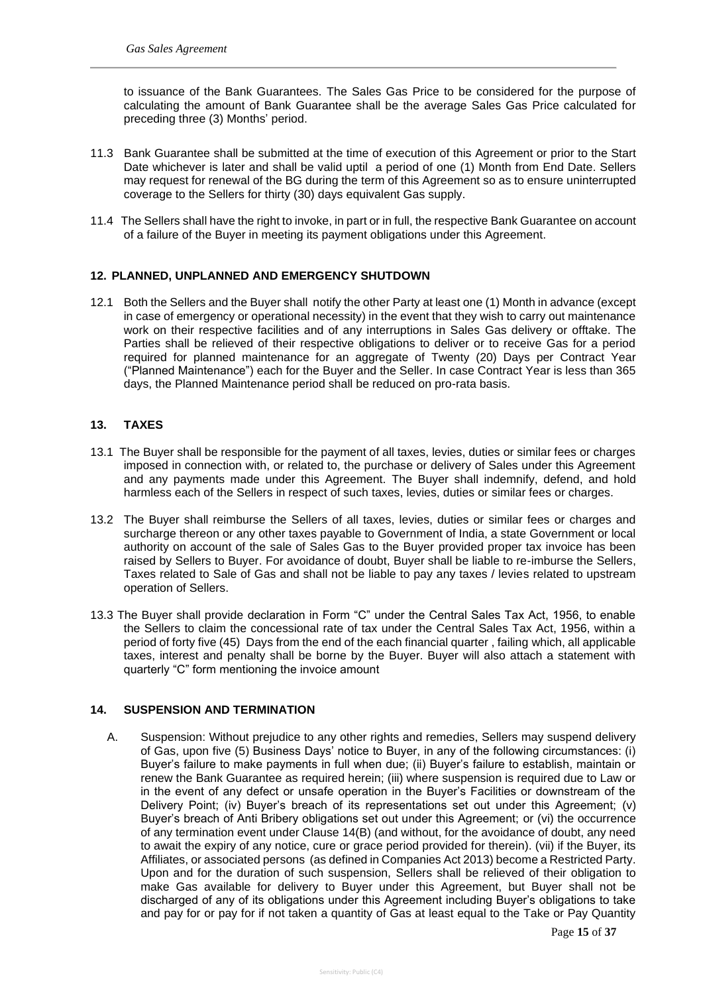to issuance of the Bank Guarantees. The Sales Gas Price to be considered for the purpose of calculating the amount of Bank Guarantee shall be the average Sales Gas Price calculated for preceding three (3) Months' period.

- 11.3 Bank Guarantee shall be submitted at the time of execution of this Agreement or prior to the Start Date whichever is later and shall be valid uptil a period of one (1) Month from End Date. Sellers may request for renewal of the BG during the term of this Agreement so as to ensure uninterrupted coverage to the Sellers for thirty (30) days equivalent Gas supply.
- 11.4 The Sellers shall have the right to invoke, in part or in full, the respective Bank Guarantee on account of a failure of the Buyer in meeting its payment obligations under this Agreement.

## **12. PLANNED, UNPLANNED AND EMERGENCY SHUTDOWN**

12.1 Both the Sellers and the Buyer shall notify the other Party at least one (1) Month in advance (except in case of emergency or operational necessity) in the event that they wish to carry out maintenance work on their respective facilities and of any interruptions in Sales Gas delivery or offtake. The Parties shall be relieved of their respective obligations to deliver or to receive Gas for a period required for planned maintenance for an aggregate of Twenty (20) Days per Contract Year ("Planned Maintenance") each for the Buyer and the Seller. In case Contract Year is less than 365 days, the Planned Maintenance period shall be reduced on pro-rata basis.

## **13. TAXES**

- 13.1 The Buyer shall be responsible for the payment of all taxes, levies, duties or similar fees or charges imposed in connection with, or related to, the purchase or delivery of Sales under this Agreement and any payments made under this Agreement. The Buyer shall indemnify, defend, and hold harmless each of the Sellers in respect of such taxes, levies, duties or similar fees or charges.
- 13.2 The Buyer shall reimburse the Sellers of all taxes, levies, duties or similar fees or charges and surcharge thereon or any other taxes payable to Government of India, a state Government or local authority on account of the sale of Sales Gas to the Buyer provided proper tax invoice has been raised by Sellers to Buyer. For avoidance of doubt, Buyer shall be liable to re-imburse the Sellers, Taxes related to Sale of Gas and shall not be liable to pay any taxes / levies related to upstream operation of Sellers.
- 13.3 The Buyer shall provide declaration in Form "C" under the Central Sales Tax Act, 1956, to enable the Sellers to claim the concessional rate of tax under the Central Sales Tax Act, 1956, within a period of forty five (45) Days from the end of the each financial quarter , failing which, all applicable taxes, interest and penalty shall be borne by the Buyer. Buyer will also attach a statement with quarterly "C" form mentioning the invoice amount

## **14. SUSPENSION AND TERMINATION**

A. Suspension: Without prejudice to any other rights and remedies, Sellers may suspend delivery of Gas, upon five (5) Business Days' notice to Buyer, in any of the following circumstances: (i) Buyer's failure to make payments in full when due; (ii) Buyer's failure to establish, maintain or renew the Bank Guarantee as required herein; (iii) where suspension is required due to Law or in the event of any defect or unsafe operation in the Buyer's Facilities or downstream of the Delivery Point; (iv) Buyer's breach of its representations set out under this Agreement; (v) Buyer's breach of Anti Bribery obligations set out under this Agreement; or (vi) the occurrence of any termination event under Clause 14(B) (and without, for the avoidance of doubt, any need to await the expiry of any notice, cure or grace period provided for therein). (vii) if the Buyer, its Affiliates, or associated persons (as defined in Companies Act 2013) become a Restricted Party. Upon and for the duration of such suspension, Sellers shall be relieved of their obligation to make Gas available for delivery to Buyer under this Agreement, but Buyer shall not be discharged of any of its obligations under this Agreement including Buyer's obligations to take and pay for or pay for if not taken a quantity of Gas at least equal to the Take or Pay Quantity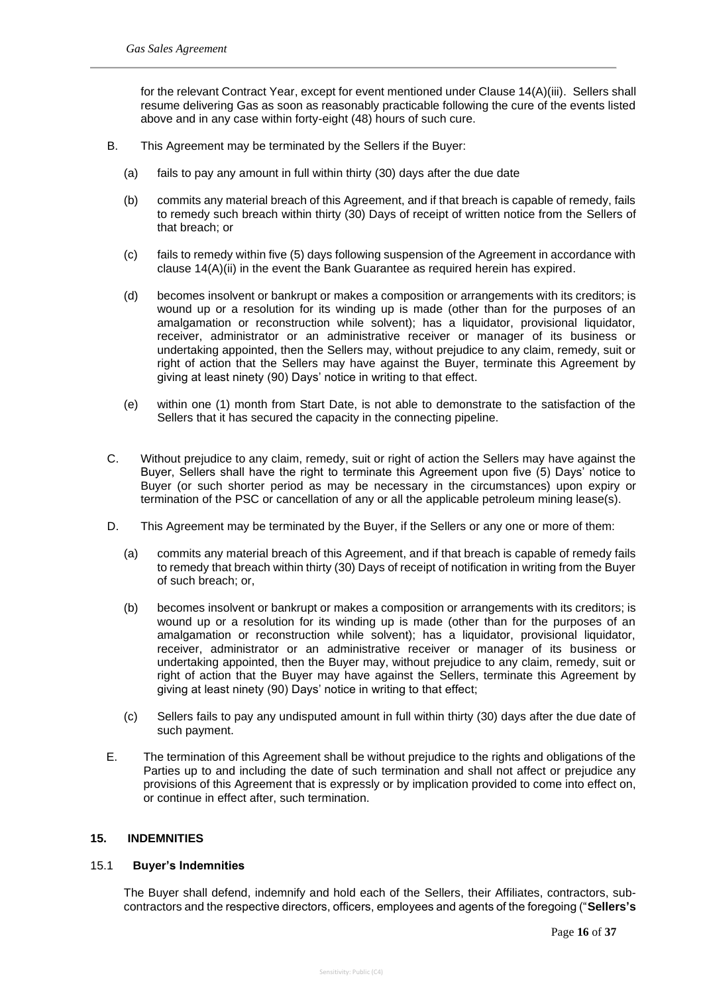for the relevant Contract Year, except for event mentioned under Clause 14(A)(iii). Sellers shall resume delivering Gas as soon as reasonably practicable following the cure of the events listed above and in any case within forty-eight (48) hours of such cure.

- B. This Agreement may be terminated by the Sellers if the Buyer:
	- (a) fails to pay any amount in full within thirty (30) days after the due date
	- (b) commits any material breach of this Agreement, and if that breach is capable of remedy, fails to remedy such breach within thirty (30) Days of receipt of written notice from the Sellers of that breach; or
	- (c) fails to remedy within five (5) days following suspension of the Agreement in accordance with clause 14(A)(ii) in the event the Bank Guarantee as required herein has expired.
	- (d) becomes insolvent or bankrupt or makes a composition or arrangements with its creditors; is wound up or a resolution for its winding up is made (other than for the purposes of an amalgamation or reconstruction while solvent); has a liquidator, provisional liquidator, receiver, administrator or an administrative receiver or manager of its business or undertaking appointed, then the Sellers may, without prejudice to any claim, remedy, suit or right of action that the Sellers may have against the Buyer, terminate this Agreement by giving at least ninety (90) Days' notice in writing to that effect.
	- (e) within one (1) month from Start Date, is not able to demonstrate to the satisfaction of the Sellers that it has secured the capacity in the connecting pipeline.
- C. Without prejudice to any claim, remedy, suit or right of action the Sellers may have against the Buyer, Sellers shall have the right to terminate this Agreement upon five (5) Days' notice to Buyer (or such shorter period as may be necessary in the circumstances) upon expiry or termination of the PSC or cancellation of any or all the applicable petroleum mining lease(s).
- D. This Agreement may be terminated by the Buyer, if the Sellers or any one or more of them:
	- (a) commits any material breach of this Agreement, and if that breach is capable of remedy fails to remedy that breach within thirty (30) Days of receipt of notification in writing from the Buyer of such breach; or,
	- (b) becomes insolvent or bankrupt or makes a composition or arrangements with its creditors; is wound up or a resolution for its winding up is made (other than for the purposes of an amalgamation or reconstruction while solvent); has a liquidator, provisional liquidator, receiver, administrator or an administrative receiver or manager of its business or undertaking appointed, then the Buyer may, without prejudice to any claim, remedy, suit or right of action that the Buyer may have against the Sellers, terminate this Agreement by giving at least ninety (90) Days' notice in writing to that effect;
	- (c) Sellers fails to pay any undisputed amount in full within thirty (30) days after the due date of such payment.
- E. The termination of this Agreement shall be without prejudice to the rights and obligations of the Parties up to and including the date of such termination and shall not affect or prejudice any provisions of this Agreement that is expressly or by implication provided to come into effect on, or continue in effect after, such termination.

#### **15. INDEMNITIES**

#### 15.1 **Buyer's Indemnities**

The Buyer shall defend, indemnify and hold each of the Sellers, their Affiliates, contractors, subcontractors and the respective directors, officers, employees and agents of the foregoing ("**Sellers's**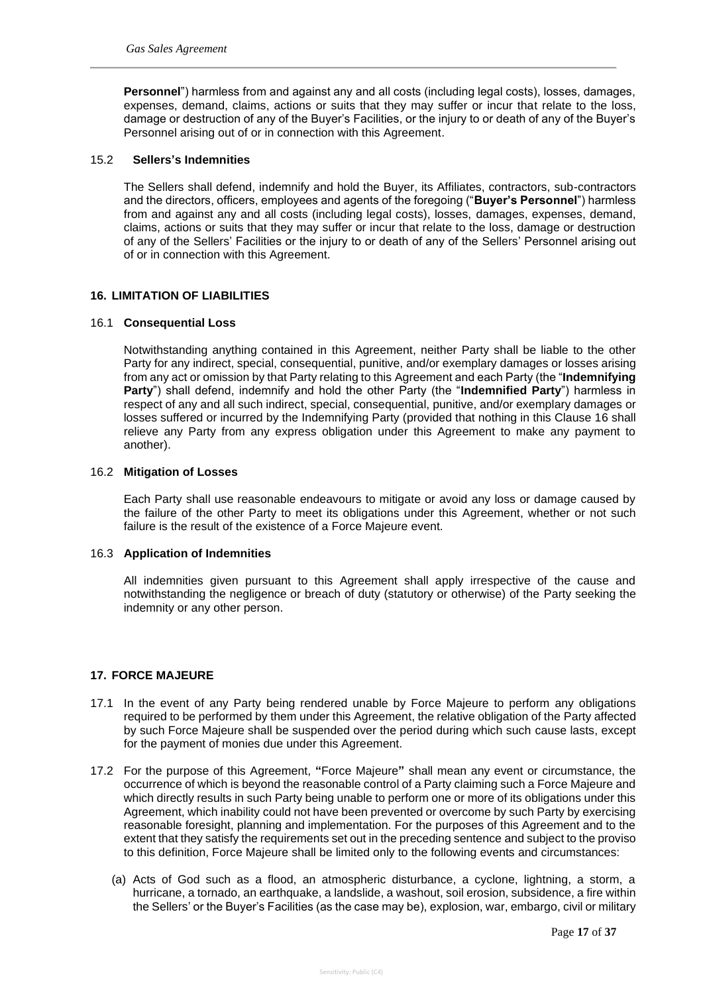**Personnel**") harmless from and against any and all costs (including legal costs), losses, damages, expenses, demand, claims, actions or suits that they may suffer or incur that relate to the loss, damage or destruction of any of the Buyer's Facilities, or the injury to or death of any of the Buyer's Personnel arising out of or in connection with this Agreement.

#### 15.2 **Sellers's Indemnities**

The Sellers shall defend, indemnify and hold the Buyer, its Affiliates, contractors, sub-contractors and the directors, officers, employees and agents of the foregoing ("**Buyer's Personnel**") harmless from and against any and all costs (including legal costs), losses, damages, expenses, demand, claims, actions or suits that they may suffer or incur that relate to the loss, damage or destruction of any of the Sellers' Facilities or the injury to or death of any of the Sellers' Personnel arising out of or in connection with this Agreement.

## **16. LIMITATION OF LIABILITIES**

#### 16.1 **Consequential Loss**

Notwithstanding anything contained in this Agreement, neither Party shall be liable to the other Party for any indirect, special, consequential, punitive, and/or exemplary damages or losses arising from any act or omission by that Party relating to this Agreement and each Party (the "**Indemnifying Party**") shall defend, indemnify and hold the other Party (the "**Indemnified Party**") harmless in respect of any and all such indirect, special, consequential, punitive, and/or exemplary damages or losses suffered or incurred by the Indemnifying Party (provided that nothing in this Clause 16 shall relieve any Party from any express obligation under this Agreement to make any payment to another).

#### 16.2 **Mitigation of Losses**

Each Party shall use reasonable endeavours to mitigate or avoid any loss or damage caused by the failure of the other Party to meet its obligations under this Agreement, whether or not such failure is the result of the existence of a Force Majeure event.

#### 16.3 **Application of Indemnities**

All indemnities given pursuant to this Agreement shall apply irrespective of the cause and notwithstanding the negligence or breach of duty (statutory or otherwise) of the Party seeking the indemnity or any other person.

## **17. FORCE MAJEURE**

- 17.1 In the event of any Party being rendered unable by Force Majeure to perform any obligations required to be performed by them under this Agreement, the relative obligation of the Party affected by such Force Majeure shall be suspended over the period during which such cause lasts, except for the payment of monies due under this Agreement.
- 17.2 For the purpose of this Agreement, **"**Force Majeure**"** shall mean any event or circumstance, the occurrence of which is beyond the reasonable control of a Party claiming such a Force Majeure and which directly results in such Party being unable to perform one or more of its obligations under this Agreement, which inability could not have been prevented or overcome by such Party by exercising reasonable foresight, planning and implementation. For the purposes of this Agreement and to the extent that they satisfy the requirements set out in the preceding sentence and subject to the proviso to this definition, Force Majeure shall be limited only to the following events and circumstances:
	- (a) Acts of God such as a flood, an atmospheric disturbance, a cyclone, lightning, a storm, a hurricane, a tornado, an earthquake, a landslide, a washout, soil erosion, subsidence, a fire within the Sellers' or the Buyer's Facilities (as the case may be), explosion, war, embargo, civil or military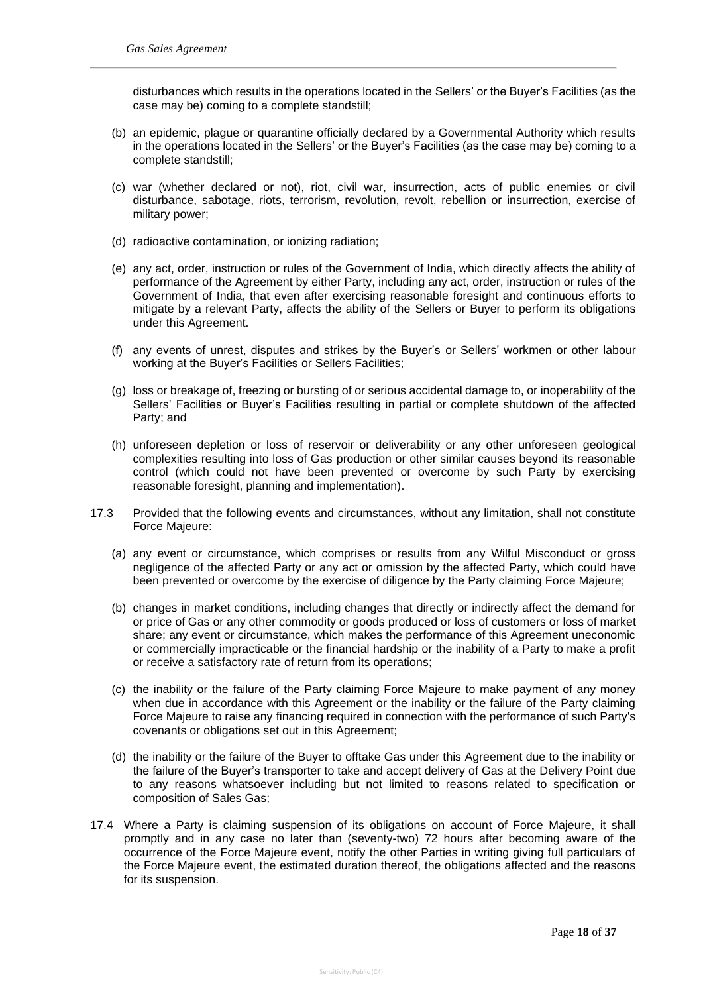disturbances which results in the operations located in the Sellers' or the Buyer's Facilities (as the case may be) coming to a complete standstill;

- (b) an epidemic, plague or quarantine officially declared by a Governmental Authority which results in the operations located in the Sellers' or the Buyer's Facilities (as the case may be) coming to a complete standstill;
- (c) war (whether declared or not), riot, civil war, insurrection, acts of public enemies or civil disturbance, sabotage, riots, terrorism, revolution, revolt, rebellion or insurrection, exercise of military power;
- (d) radioactive contamination, or ionizing radiation;
- (e) any act, order, instruction or rules of the Government of India, which directly affects the ability of performance of the Agreement by either Party, including any act, order, instruction or rules of the Government of India, that even after exercising reasonable foresight and continuous efforts to mitigate by a relevant Party, affects the ability of the Sellers or Buyer to perform its obligations under this Agreement.
- (f) any events of unrest, disputes and strikes by the Buyer's or Sellers' workmen or other labour working at the Buyer's Facilities or Sellers Facilities;
- (g) loss or breakage of, freezing or bursting of or serious accidental damage to, or inoperability of the Sellers' Facilities or Buyer's Facilities resulting in partial or complete shutdown of the affected Party; and
- (h) unforeseen depletion or loss of reservoir or deliverability or any other unforeseen geological complexities resulting into loss of Gas production or other similar causes beyond its reasonable control (which could not have been prevented or overcome by such Party by exercising reasonable foresight, planning and implementation).
- 17.3 Provided that the following events and circumstances, without any limitation, shall not constitute Force Majeure:
	- (a) any event or circumstance, which comprises or results from any Wilful Misconduct or gross negligence of the affected Party or any act or omission by the affected Party, which could have been prevented or overcome by the exercise of diligence by the Party claiming Force Majeure;
	- (b) changes in market conditions, including changes that directly or indirectly affect the demand for or price of Gas or any other commodity or goods produced or loss of customers or loss of market share; any event or circumstance, which makes the performance of this Agreement uneconomic or commercially impracticable or the financial hardship or the inability of a Party to make a profit or receive a satisfactory rate of return from its operations;
	- (c) the inability or the failure of the Party claiming Force Majeure to make payment of any money when due in accordance with this Agreement or the inability or the failure of the Party claiming Force Majeure to raise any financing required in connection with the performance of such Party's covenants or obligations set out in this Agreement;
	- (d) the inability or the failure of the Buyer to offtake Gas under this Agreement due to the inability or the failure of the Buyer's transporter to take and accept delivery of Gas at the Delivery Point due to any reasons whatsoever including but not limited to reasons related to specification or composition of Sales Gas;
- 17.4 Where a Party is claiming suspension of its obligations on account of Force Majeure, it shall promptly and in any case no later than (seventy-two) 72 hours after becoming aware of the occurrence of the Force Majeure event, notify the other Parties in writing giving full particulars of the Force Majeure event, the estimated duration thereof, the obligations affected and the reasons for its suspension.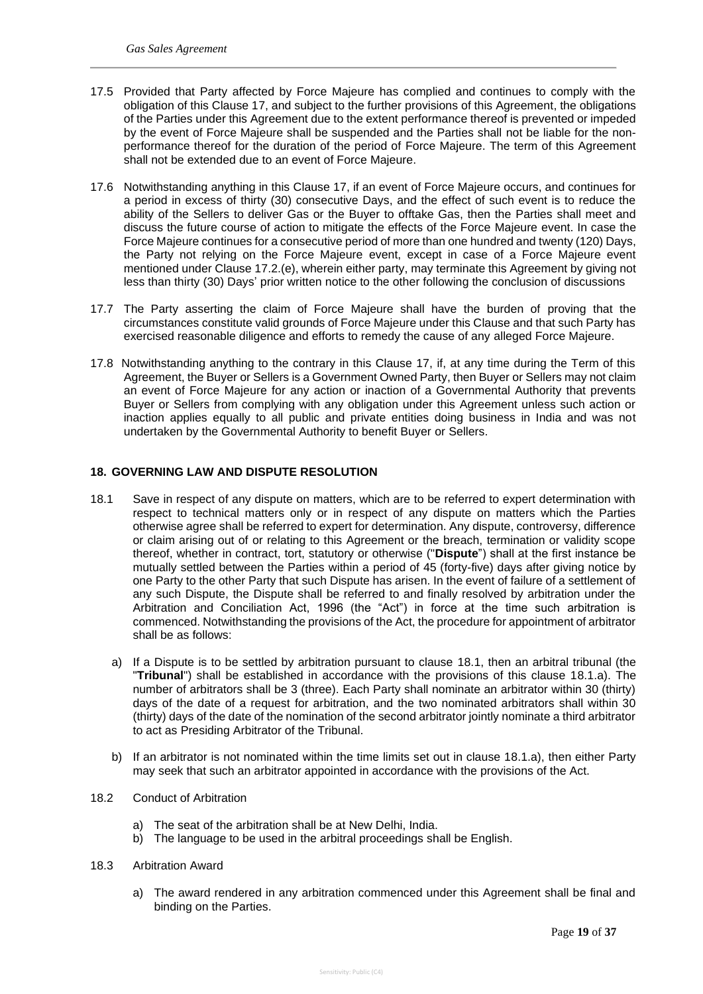- 17.5 Provided that Party affected by Force Majeure has complied and continues to comply with the obligation of this Clause 17, and subject to the further provisions of this Agreement, the obligations of the Parties under this Agreement due to the extent performance thereof is prevented or impeded by the event of Force Majeure shall be suspended and the Parties shall not be liable for the nonperformance thereof for the duration of the period of Force Majeure. The term of this Agreement shall not be extended due to an event of Force Majeure.
- 17.6 Notwithstanding anything in this Clause 17, if an event of Force Majeure occurs, and continues for a period in excess of thirty (30) consecutive Days, and the effect of such event is to reduce the ability of the Sellers to deliver Gas or the Buyer to offtake Gas, then the Parties shall meet and discuss the future course of action to mitigate the effects of the Force Majeure event. In case the Force Majeure continues for a consecutive period of more than one hundred and twenty (120) Days, the Party not relying on the Force Majeure event, except in case of a Force Majeure event mentioned under Clause 17.2.(e), wherein either party, may terminate this Agreement by giving not less than thirty (30) Days' prior written notice to the other following the conclusion of discussions
- 17.7 The Party asserting the claim of Force Majeure shall have the burden of proving that the circumstances constitute valid grounds of Force Majeure under this Clause and that such Party has exercised reasonable diligence and efforts to remedy the cause of any alleged Force Majeure.
- 17.8 Notwithstanding anything to the contrary in this Clause 17, if, at any time during the Term of this Agreement, the Buyer or Sellers is a Government Owned Party, then Buyer or Sellers may not claim an event of Force Majeure for any action or inaction of a Governmental Authority that prevents Buyer or Sellers from complying with any obligation under this Agreement unless such action or inaction applies equally to all public and private entities doing business in India and was not undertaken by the Governmental Authority to benefit Buyer or Sellers.

## **18. GOVERNING LAW AND DISPUTE RESOLUTION**

- 18.1 Save in respect of any dispute on matters, which are to be referred to expert determination with respect to technical matters only or in respect of any dispute on matters which the Parties otherwise agree shall be referred to expert for determination. Any dispute, controversy, difference or claim arising out of or relating to this Agreement or the breach, termination or validity scope thereof, whether in contract, tort, statutory or otherwise ("**Dispute**") shall at the first instance be mutually settled between the Parties within a period of 45 (forty-five) days after giving notice by one Party to the other Party that such Dispute has arisen. In the event of failure of a settlement of any such Dispute, the Dispute shall be referred to and finally resolved by arbitration under the Arbitration and Conciliation Act, 1996 (the "Act") in force at the time such arbitration is commenced. Notwithstanding the provisions of the Act, the procedure for appointment of arbitrator shall be as follows:
	- a) If a Dispute is to be settled by arbitration pursuant to clause 18.1, then an arbitral tribunal (the "**Tribunal**") shall be established in accordance with the provisions of this clause 18.1.a). The number of arbitrators shall be 3 (three). Each Party shall nominate an arbitrator within 30 (thirty) days of the date of a request for arbitration, and the two nominated arbitrators shall within 30 (thirty) days of the date of the nomination of the second arbitrator jointly nominate a third arbitrator to act as Presiding Arbitrator of the Tribunal.
	- b) If an arbitrator is not nominated within the time limits set out in clause 18.1.a), then either Party may seek that such an arbitrator appointed in accordance with the provisions of the Act.
- 18.2 Conduct of Arbitration
	- a) The seat of the arbitration shall be at New Delhi, India.
	- b) The language to be used in the arbitral proceedings shall be English.
- 18.3 Arbitration Award
	- a) The award rendered in any arbitration commenced under this Agreement shall be final and binding on the Parties.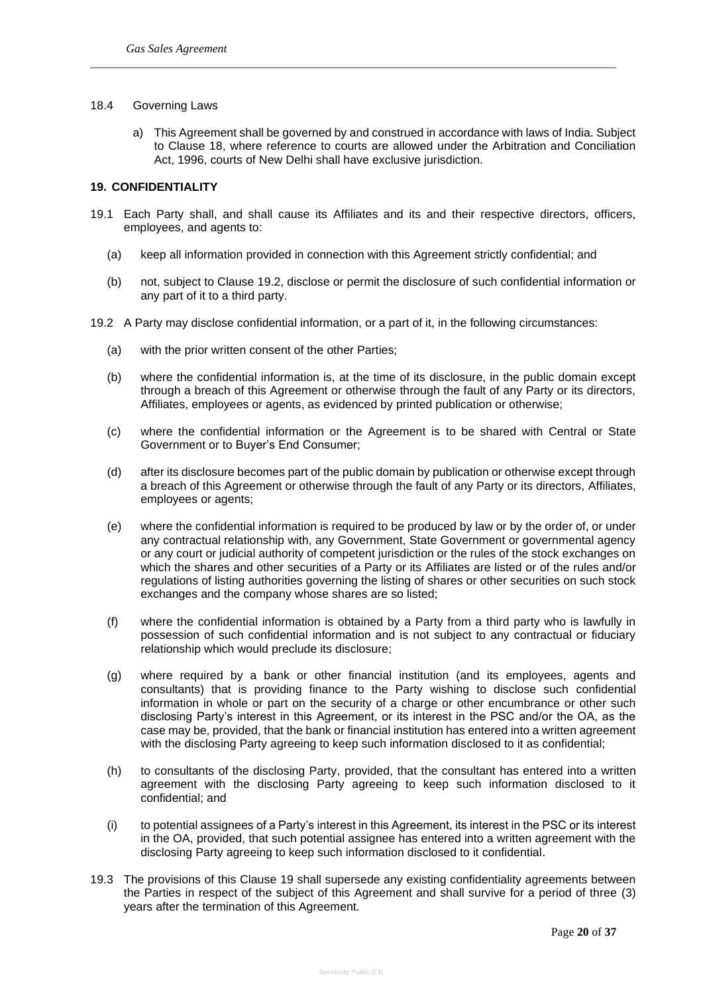#### 18.4 Governing Laws

a) This Agreement shall be governed by and construed in accordance with laws of India. Subject to Clause 18, where reference to courts are allowed under the Arbitration and Conciliation Act, 1996, courts of New Delhi shall have exclusive jurisdiction.

## **19. CONFIDENTIALITY**

- 19.1 Each Party shall, and shall cause its Affiliates and its and their respective directors, officers, employees, and agents to:
	- (a) keep all information provided in connection with this Agreement strictly confidential; and
	- (b) not, subject to Clause 19.2, disclose or permit the disclosure of such confidential information or any part of it to a third party.
- 19.2 A Party may disclose confidential information, or a part of it, in the following circumstances:
	- (a) with the prior written consent of the other Parties;
	- (b) where the confidential information is, at the time of its disclosure, in the public domain except through a breach of this Agreement or otherwise through the fault of any Party or its directors, Affiliates, employees or agents, as evidenced by printed publication or otherwise;
	- (c) where the confidential information or the Agreement is to be shared with Central or State Government or to Buyer's End Consumer;
	- (d) after its disclosure becomes part of the public domain by publication or otherwise except through a breach of this Agreement or otherwise through the fault of any Party or its directors, Affiliates, employees or agents;
	- (e) where the confidential information is required to be produced by law or by the order of, or under any contractual relationship with, any Government, State Government or governmental agency or any court or judicial authority of competent jurisdiction or the rules of the stock exchanges on which the shares and other securities of a Party or its Affiliates are listed or of the rules and/or regulations of listing authorities governing the listing of shares or other securities on such stock exchanges and the company whose shares are so listed;
	- (f) where the confidential information is obtained by a Party from a third party who is lawfully in possession of such confidential information and is not subject to any contractual or fiduciary relationship which would preclude its disclosure;
	- (g) where required by a bank or other financial institution (and its employees, agents and consultants) that is providing finance to the Party wishing to disclose such confidential information in whole or part on the security of a charge or other encumbrance or other such disclosing Party's interest in this Agreement, or its interest in the PSC and/or the OA, as the case may be, provided, that the bank or financial institution has entered into a written agreement with the disclosing Party agreeing to keep such information disclosed to it as confidential;
	- (h) to consultants of the disclosing Party, provided, that the consultant has entered into a written agreement with the disclosing Party agreeing to keep such information disclosed to it confidential; and
	- (i) to potential assignees of a Party's interest in this Agreement, its interest in the PSC or its interest in the OA, provided, that such potential assignee has entered into a written agreement with the disclosing Party agreeing to keep such information disclosed to it confidential.
- 19.3 The provisions of this Clause 19 shall supersede any existing confidentiality agreements between the Parties in respect of the subject of this Agreement and shall survive for a period of three (3) years after the termination of this Agreement.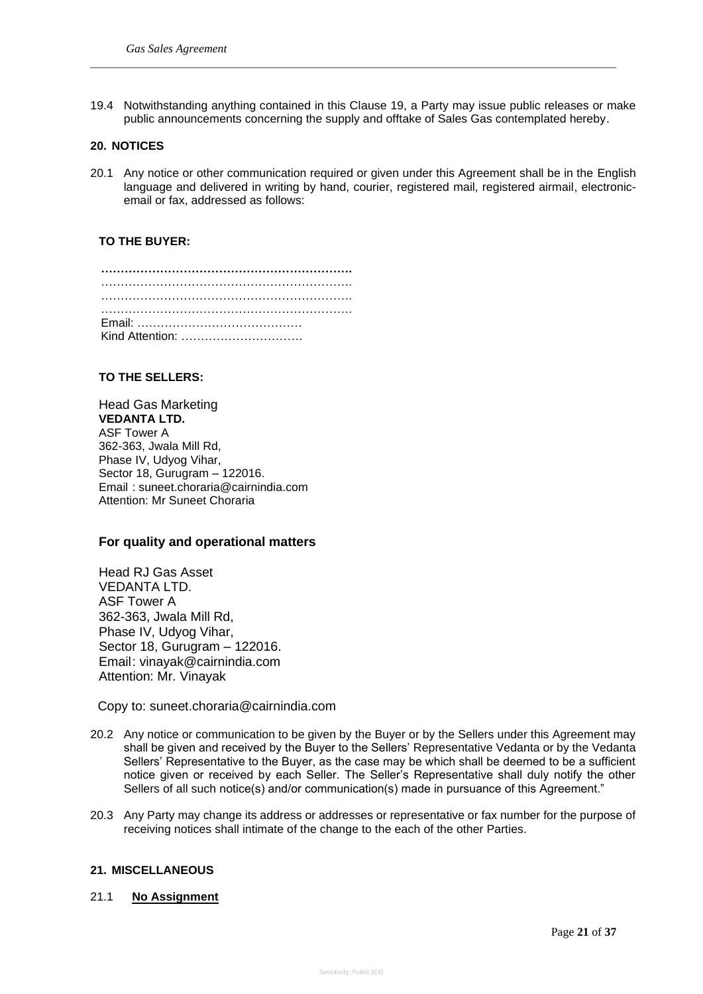19.4 Notwithstanding anything contained in this Clause 19, a Party may issue public releases or make public announcements concerning the supply and offtake of Sales Gas contemplated hereby.

#### **20. NOTICES**

20.1 Any notice or other communication required or given under this Agreement shall be in the English language and delivered in writing by hand, courier, registered mail, registered airmail, electronicemail or fax, addressed as follows:

## **TO THE BUYER:**

| Kind Attention: |  |  |  |  |  |  |  |  |  |  |  |  |  |  |  |  |  |  |  |  |  |  |  |  |  |  |  |  |  |  |  |  |  |  |  |  |
|-----------------|--|--|--|--|--|--|--|--|--|--|--|--|--|--|--|--|--|--|--|--|--|--|--|--|--|--|--|--|--|--|--|--|--|--|--|--|

#### **TO THE SELLERS:**

Head Gas Marketing **VEDANTA LTD.** ASF Tower A 362-363, Jwala Mill Rd, Phase IV, Udyog Vihar, Sector 18, Gurugram – 122016. Email : suneet.choraria@cairnindia.com Attention: Mr Suneet Choraria

#### **For quality and operational matters**

Head RJ Gas Asset VEDANTA LTD. ASF Tower A 362-363, Jwala Mill Rd, Phase IV, Udyog Vihar, Sector 18, Gurugram – 122016. Email: vinayak@cairnindia.com Attention: Mr. Vinayak

Copy to: suneet.choraria@cairnindia.com

- 20.2 Any notice or communication to be given by the Buyer or by the Sellers under this Agreement may shall be given and received by the Buyer to the Sellers' Representative Vedanta or by the Vedanta Sellers' Representative to the Buyer, as the case may be which shall be deemed to be a sufficient notice given or received by each Seller. The Seller's Representative shall duly notify the other Sellers of all such notice(s) and/or communication(s) made in pursuance of this Agreement."
- 20.3 Any Party may change its address or addresses or representative or fax number for the purpose of receiving notices shall intimate of the change to the each of the other Parties.

#### **21. MISCELLANEOUS**

#### 21.1 **No Assignment**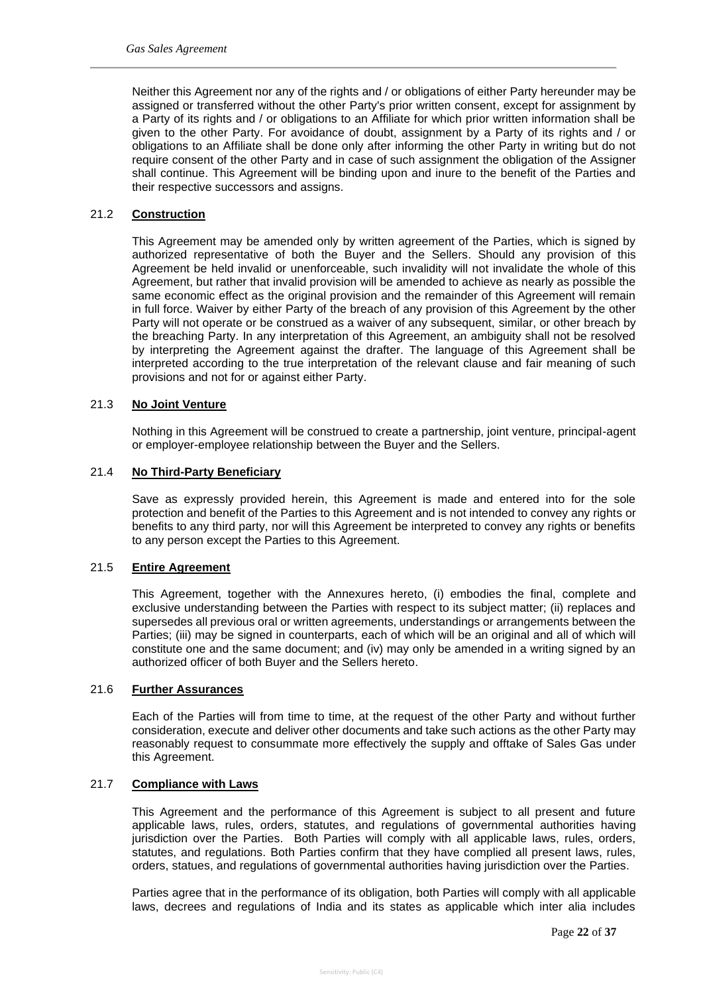Neither this Agreement nor any of the rights and / or obligations of either Party hereunder may be assigned or transferred without the other Party's prior written consent, except for assignment by a Party of its rights and / or obligations to an Affiliate for which prior written information shall be given to the other Party. For avoidance of doubt, assignment by a Party of its rights and / or obligations to an Affiliate shall be done only after informing the other Party in writing but do not require consent of the other Party and in case of such assignment the obligation of the Assigner shall continue. This Agreement will be binding upon and inure to the benefit of the Parties and their respective successors and assigns.

## 21.2 **Construction**

This Agreement may be amended only by written agreement of the Parties, which is signed by authorized representative of both the Buyer and the Sellers. Should any provision of this Agreement be held invalid or unenforceable, such invalidity will not invalidate the whole of this Agreement, but rather that invalid provision will be amended to achieve as nearly as possible the same economic effect as the original provision and the remainder of this Agreement will remain in full force. Waiver by either Party of the breach of any provision of this Agreement by the other Party will not operate or be construed as a waiver of any subsequent, similar, or other breach by the breaching Party. In any interpretation of this Agreement, an ambiguity shall not be resolved by interpreting the Agreement against the drafter. The language of this Agreement shall be interpreted according to the true interpretation of the relevant clause and fair meaning of such provisions and not for or against either Party.

#### 21.3 **No Joint Venture**

Nothing in this Agreement will be construed to create a partnership, joint venture, principal-agent or employer-employee relationship between the Buyer and the Sellers.

#### 21.4 **No Third-Party Beneficiary**

Save as expressly provided herein, this Agreement is made and entered into for the sole protection and benefit of the Parties to this Agreement and is not intended to convey any rights or benefits to any third party, nor will this Agreement be interpreted to convey any rights or benefits to any person except the Parties to this Agreement.

#### 21.5 **Entire Agreement**

This Agreement, together with the Annexures hereto, (i) embodies the final, complete and exclusive understanding between the Parties with respect to its subject matter; (ii) replaces and supersedes all previous oral or written agreements, understandings or arrangements between the Parties; (iii) may be signed in counterparts, each of which will be an original and all of which will constitute one and the same document; and (iv) may only be amended in a writing signed by an authorized officer of both Buyer and the Sellers hereto.

## 21.6 **Further Assurances**

Each of the Parties will from time to time, at the request of the other Party and without further consideration, execute and deliver other documents and take such actions as the other Party may reasonably request to consummate more effectively the supply and offtake of Sales Gas under this Agreement.

#### 21.7 **Compliance with Laws**

This Agreement and the performance of this Agreement is subject to all present and future applicable laws, rules, orders, statutes, and regulations of governmental authorities having jurisdiction over the Parties. Both Parties will comply with all applicable laws, rules, orders, statutes, and regulations. Both Parties confirm that they have complied all present laws, rules, orders, statues, and regulations of governmental authorities having jurisdiction over the Parties.

Parties agree that in the performance of its obligation, both Parties will comply with all applicable laws, decrees and regulations of India and its states as applicable which inter alia includes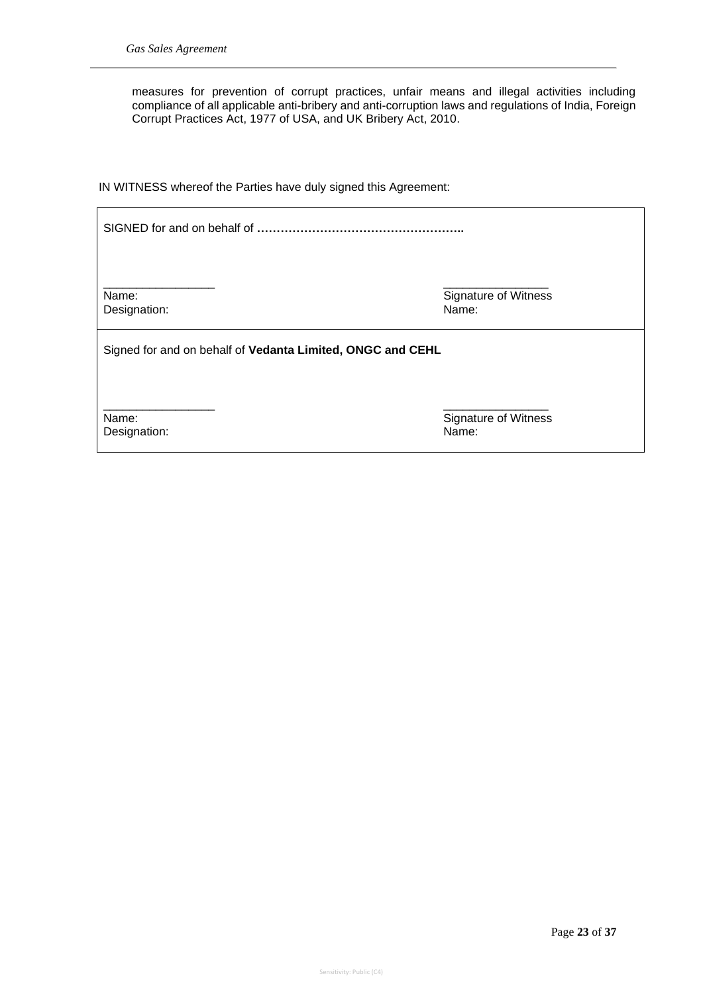measures for prevention of corrupt practices, unfair means and illegal activities including compliance of all applicable anti-bribery and anti-corruption laws and regulations of India, Foreign Corrupt Practices Act, 1977 of USA, and UK Bribery Act, 2010.

IN WITNESS whereof the Parties have duly signed this Agreement:

SIGNED for and on behalf of **……………………………………………..** \_\_\_\_\_\_\_\_\_\_\_\_\_\_\_\_\_ \_\_\_\_\_\_\_\_\_\_\_\_\_\_\_\_ Name:<br>
Designation:<br>
Designation:<br>
Name: Designation: Signed for and on behalf of **Vedanta Limited, ONGC and CEHL** \_\_\_\_\_\_\_\_\_\_\_\_\_\_\_\_\_ \_\_\_\_\_\_\_\_\_\_\_\_\_\_\_\_ Name: Signature of Witness

Designation: Name: Name: Name: Name: Name: Name: Name: Name: Name: Name: Name: Name: Name: Name: Name: Name: Name: Name: Name: Name: Name: Name: Name: Name: Name: Name: Name: Name: Name: Name: Name: Name: Name: Name: Name: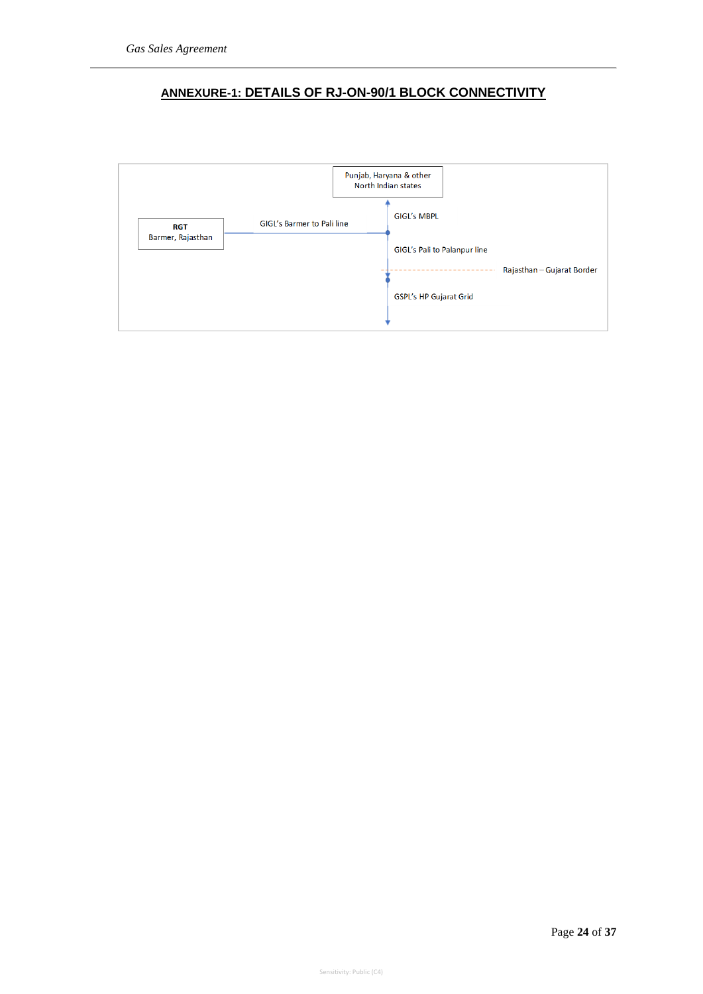# **ANNEXURE-1: DETAILS OF RJ-ON-90/1 BLOCK CONNECTIVITY**

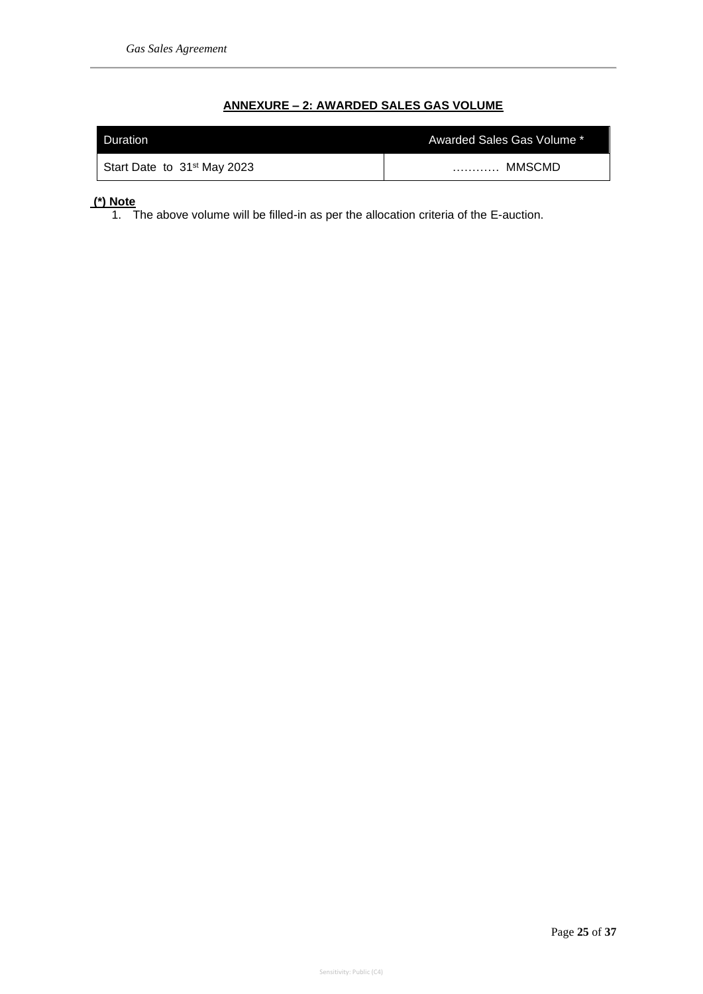# **ANNEXURE – 2: AWARDED SALES GAS VOLUME**

| Duration                                | Awarded Sales Gas Volume * |
|-----------------------------------------|----------------------------|
| Start Date to 31 <sup>st</sup> May 2023 | <b>MMSCMD</b><br>.         |

# **(\*) Note**

1. The above volume will be filled-in as per the allocation criteria of the E-auction.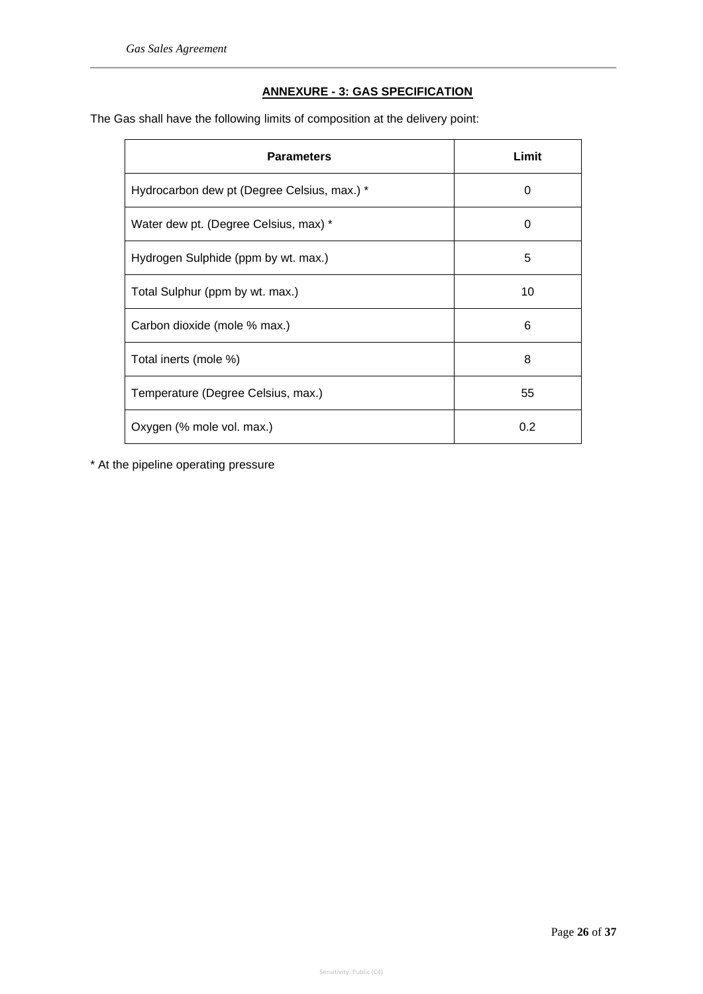# **ANNEXURE - 3: GAS SPECIFICATION**

The Gas shall have the following limits of composition at the delivery point:

| <b>Parameters</b>                           | Limit    |
|---------------------------------------------|----------|
| Hydrocarbon dew pt (Degree Celsius, max.) * | 0        |
| Water dew pt. (Degree Celsius, max) *       | $\Omega$ |
| Hydrogen Sulphide (ppm by wt. max.)         | 5        |
| Total Sulphur (ppm by wt. max.)             | 10       |
| Carbon dioxide (mole % max.)                | 6        |
| Total inerts (mole %)                       | 8        |
| Temperature (Degree Celsius, max.)          | 55       |
| Oxygen (% mole vol. max.)                   | 0.2      |

\* At the pipeline operating pressure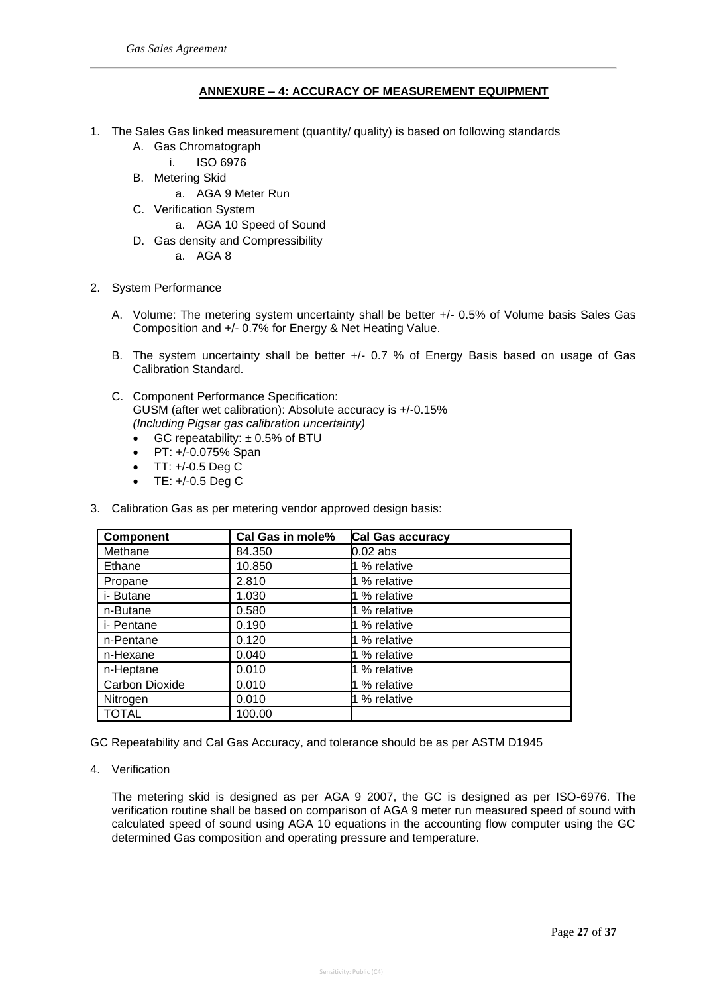## **ANNEXURE – 4: ACCURACY OF MEASUREMENT EQUIPMENT**

- 1. The Sales Gas linked measurement (quantity/ quality) is based on following standards
	- A. Gas Chromatograph
		- i. ISO 6976
	- B. Metering Skid
		- a. AGA 9 Meter Run
	- C. Verification System
		- a. AGA 10 Speed of Sound
	- D. Gas density and Compressibility
		- a. AGA 8
- 2. System Performance
	- A. Volume: The metering system uncertainty shall be better +/- 0.5% of Volume basis Sales Gas Composition and +/- 0.7% for Energy & Net Heating Value.
	- B. The system uncertainty shall be better +/- 0.7 % of Energy Basis based on usage of Gas Calibration Standard.
	- C. Component Performance Specification: GUSM (after wet calibration): Absolute accuracy is +/-0.15% *(Including Pigsar gas calibration uncertainty)*
		- GC repeatability: ± 0.5% of BTU
		- PT: +/-0.075% Span
		- $TT: +/-0.5$  Deg C
		- TE: +/-0.5 Deg C
- 3. Calibration Gas as per metering vendor approved design basis:

| <b>Component</b>      | Cal Gas in mole% | Cal Gas accuracy |
|-----------------------|------------------|------------------|
| Methane               | 84.350           | 0.02 abs         |
| Ethane                | 10.850           | 1 % relative     |
| Propane               | 2.810            | 1 % relative     |
| i- Butane             | 1.030            | 1 % relative     |
| n-Butane              | 0.580            | 1 % relative     |
| i- Pentane            | 0.190            | 1 % relative     |
| n-Pentane             | 0.120            | 1 % relative     |
| n-Hexane              | 0.040            | 1 % relative     |
| n-Heptane             | 0.010            | 1 % relative     |
| <b>Carbon Dioxide</b> | 0.010            | 1 % relative     |
| Nitrogen              | 0.010            | 1 % relative     |
| <b>TOTAL</b>          | 100.00           |                  |

GC Repeatability and Cal Gas Accuracy, and tolerance should be as per ASTM D1945

4. Verification

The metering skid is designed as per AGA 9 2007, the GC is designed as per ISO-6976. The verification routine shall be based on comparison of AGA 9 meter run measured speed of sound with calculated speed of sound using AGA 10 equations in the accounting flow computer using the GC determined Gas composition and operating pressure and temperature.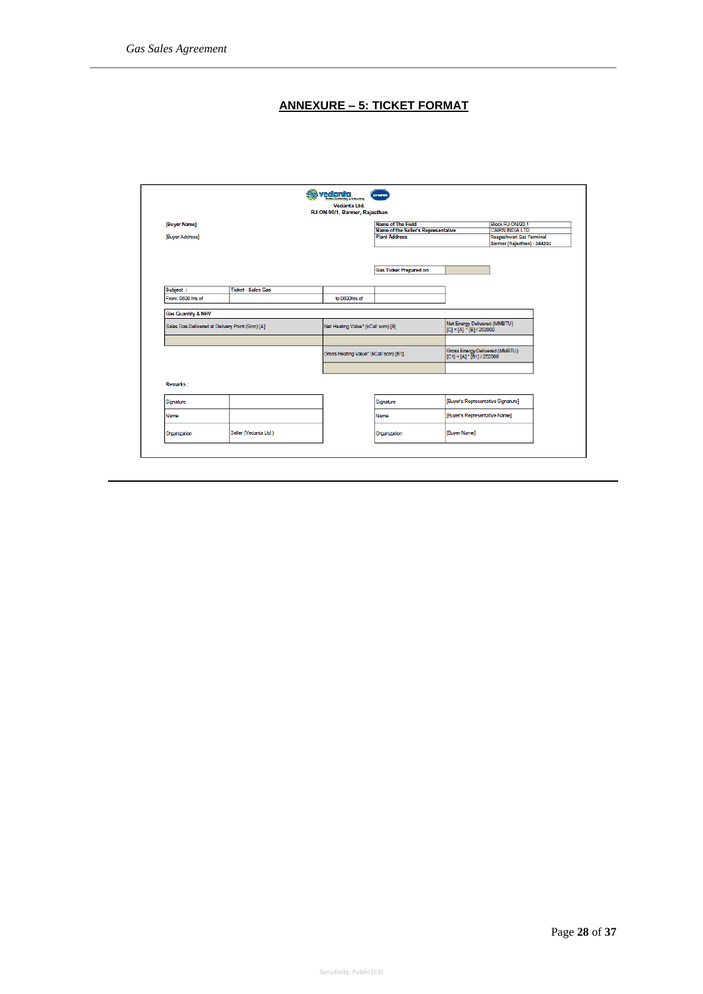# **ANNEXURE – 5: TICKET FORMAT**

|                   |                                                 |                                       | RJ-ON-90/1, Barmer, Rajasthan       |                                                          |                             |  |
|-------------------|-------------------------------------------------|---------------------------------------|-------------------------------------|----------------------------------------------------------|-----------------------------|--|
| [Buyer Name]      |                                                 |                                       | Name of The Field                   |                                                          | Block RJ-ON/90-1            |  |
|                   |                                                 |                                       | Name of the Seller's Representative |                                                          | <b>CAIRN INDIA LTD</b>      |  |
| [Buyer Address]   |                                                 |                                       | <b>Plant Address</b>                |                                                          | Raageshwari Gas Terminal    |  |
|                   |                                                 |                                       |                                     |                                                          | Barmer (Rajasthan) - 344301 |  |
|                   |                                                 |                                       | <b>Gas Ticket Prepared on</b>       |                                                          |                             |  |
|                   |                                                 |                                       |                                     |                                                          |                             |  |
| Subject:          | <b>Ticket - Sales Gas</b>                       |                                       |                                     |                                                          |                             |  |
| From: 0600 hrs of |                                                 | to 0600hrs of                         |                                     |                                                          |                             |  |
|                   | Sales Gas Delivered at Delivery Point (Scm) [A] | Net Heating Value* (kCal/ scm) [B]    |                                     | Net Energy Delivered (MMBTU)<br>$[C] = [A]$ $[B]/252000$ |                             |  |
|                   |                                                 |                                       |                                     | Gross Energy Delivered (MMBTU)                           |                             |  |
|                   |                                                 | Gross Heating Value* (kCal/ scm) [B1] |                                     | $[C1] = [A]$ * $[B1]$ / 252000                           |                             |  |
| <b>Remarks:</b>   |                                                 |                                       |                                     |                                                          |                             |  |
| Signature         |                                                 |                                       | Signature                           | [Buyer's Representative Signature]                       |                             |  |
| Name              |                                                 |                                       | Name                                | [Buyer's Representative Name]                            |                             |  |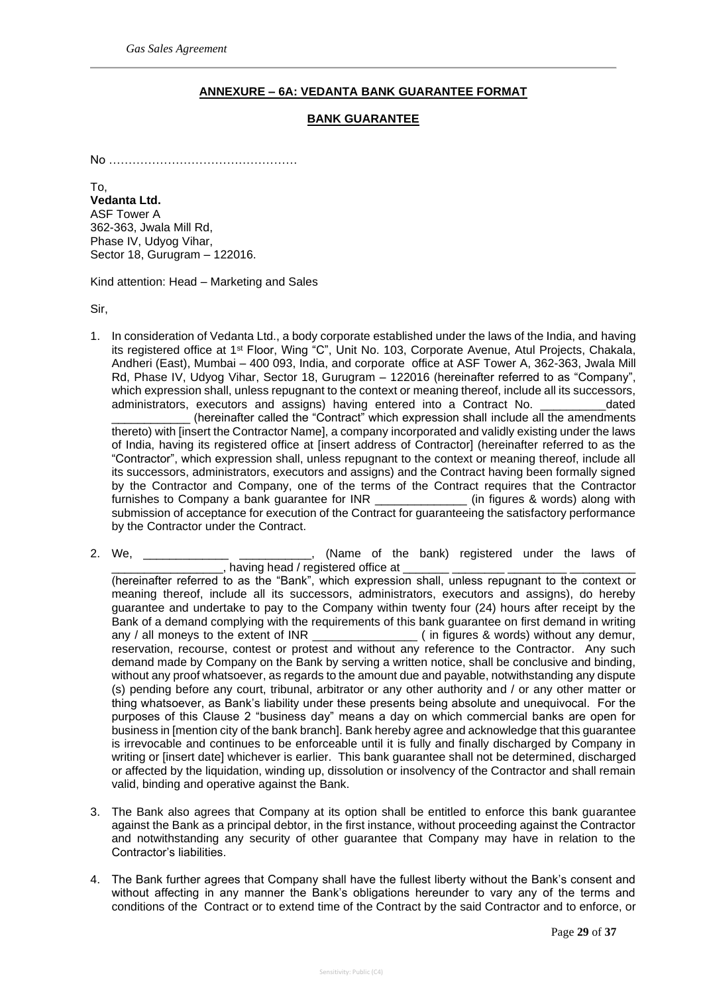## **ANNEXURE – 6A: VEDANTA BANK GUARANTEE FORMAT**

#### **BANK GUARANTEE**

No …………………………………………

To, **Vedanta Ltd.** ASF Tower A 362-363, Jwala Mill Rd, Phase IV, Udyog Vihar, Sector 18, Gurugram – 122016.

Kind attention: Head – Marketing and Sales

Sir,

- 1. In consideration of Vedanta Ltd., a body corporate established under the laws of the India, and having its registered office at 1<sup>st</sup> Floor, Wing "C", Unit No. 103, Corporate Avenue, Atul Projects, Chakala, Andheri (East), Mumbai – 400 093, India, and corporate office at ASF Tower A, 362-363, Jwala Mill Rd, Phase IV, Udyog Vihar, Sector 18, Gurugram – 122016 (hereinafter referred to as "Company", which expression shall, unless repugnant to the context or meaning thereof, include all its successors, administrators, executors and assigns) having entered into a Contract No. \_\_\_\_\_\_\_\_\_\_dated \_\_\_\_\_\_\_\_\_\_\_\_ (hereinafter called the "Contract" which expression shall include all the amendments thereto) with [insert the Contractor Name], a company incorporated and validly existing under the laws of India, having its registered office at [insert address of Contractor] (hereinafter referred to as the "Contractor", which expression shall, unless repugnant to the context or meaning thereof, include all its successors, administrators, executors and assigns) and the Contract having been formally signed by the Contractor and Company, one of the terms of the Contract requires that the Contractor furnishes to Company a bank guarantee for INR (in figures & words) along with submission of acceptance for execution of the Contract for guaranteeing the satisfactory performance by the Contractor under the Contract.
- 2. We, \_\_\_\_\_\_\_\_\_\_\_\_\_\_ \_\_\_\_\_\_\_\_\_\_\_, (Name of the bank) registered under the laws of \_, having head / registered office at (hereinafter referred to as the "Bank", which expression shall, unless repugnant to the context or meaning thereof, include all its successors, administrators, executors and assigns), do hereby guarantee and undertake to pay to the Company within twenty four (24) hours after receipt by the Bank of a demand complying with the requirements of this bank guarantee on first demand in writing  $\frac{1}{\sqrt{2\pi}}$  (in figures & words) without any demur, reservation, recourse, contest or protest and without any reference to the Contractor. Any such demand made by Company on the Bank by serving a written notice, shall be conclusive and binding, without any proof whatsoever, as regards to the amount due and payable, notwithstanding any dispute (s) pending before any court, tribunal, arbitrator or any other authority and / or any other matter or thing whatsoever, as Bank's liability under these presents being absolute and unequivocal. For the purposes of this Clause 2 "business day" means a day on which commercial banks are open for business in [mention city of the bank branch]. Bank hereby agree and acknowledge that this guarantee is irrevocable and continues to be enforceable until it is fully and finally discharged by Company in writing or [insert date] whichever is earlier. This bank guarantee shall not be determined, discharged or affected by the liquidation, winding up, dissolution or insolvency of the Contractor and shall remain valid, binding and operative against the Bank.
- 3. The Bank also agrees that Company at its option shall be entitled to enforce this bank guarantee against the Bank as a principal debtor, in the first instance, without proceeding against the Contractor and notwithstanding any security of other guarantee that Company may have in relation to the Contractor's liabilities.
- 4. The Bank further agrees that Company shall have the fullest liberty without the Bank's consent and without affecting in any manner the Bank's obligations hereunder to vary any of the terms and conditions of the Contract or to extend time of the Contract by the said Contractor and to enforce, or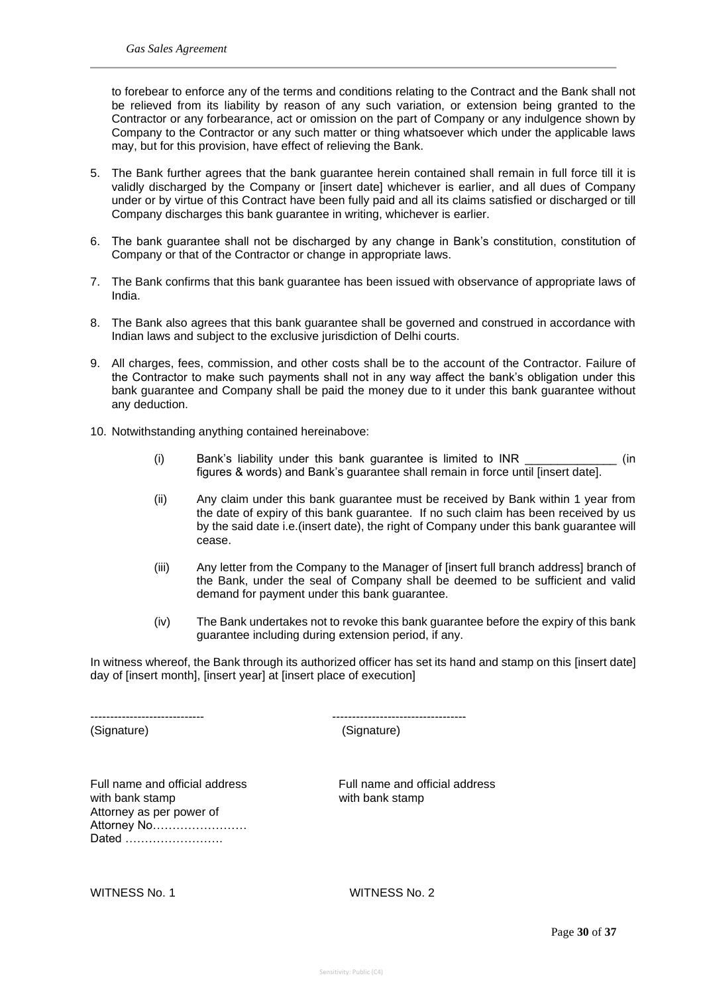to forebear to enforce any of the terms and conditions relating to the Contract and the Bank shall not be relieved from its liability by reason of any such variation, or extension being granted to the Contractor or any forbearance, act or omission on the part of Company or any indulgence shown by Company to the Contractor or any such matter or thing whatsoever which under the applicable laws may, but for this provision, have effect of relieving the Bank.

- 5. The Bank further agrees that the bank guarantee herein contained shall remain in full force till it is validly discharged by the Company or [insert date] whichever is earlier, and all dues of Company under or by virtue of this Contract have been fully paid and all its claims satisfied or discharged or till Company discharges this bank guarantee in writing, whichever is earlier.
- 6. The bank guarantee shall not be discharged by any change in Bank's constitution, constitution of Company or that of the Contractor or change in appropriate laws.
- 7. The Bank confirms that this bank guarantee has been issued with observance of appropriate laws of India.
- 8. The Bank also agrees that this bank guarantee shall be governed and construed in accordance with Indian laws and subject to the exclusive jurisdiction of Delhi courts.
- 9. All charges, fees, commission, and other costs shall be to the account of the Contractor. Failure of the Contractor to make such payments shall not in any way affect the bank's obligation under this bank guarantee and Company shall be paid the money due to it under this bank guarantee without any deduction.
- 10. Notwithstanding anything contained hereinabove:
	- (i) Bank's liability under this bank guarantee is limited to INR \_\_\_\_\_\_\_\_\_\_\_\_\_\_ (in figures & words) and Bank's guarantee shall remain in force until [insert date].
	- (ii) Any claim under this bank guarantee must be received by Bank within 1 year from the date of expiry of this bank guarantee. If no such claim has been received by us by the said date i.e.(insert date), the right of Company under this bank guarantee will cease.
	- (iii) Any letter from the Company to the Manager of [insert full branch address] branch of the Bank, under the seal of Company shall be deemed to be sufficient and valid demand for payment under this bank guarantee.
	- (iv) The Bank undertakes not to revoke this bank guarantee before the expiry of this bank guarantee including during extension period, if any.

In witness whereof, the Bank through its authorized officer has set its hand and stamp on this [insert date] day of [insert month], [insert year] at [insert place of execution]

(Signature) (Signature)

----------------------------- ----------------------------------

Full name and official address Full name and official address with bank stamp with bank stamp Attorney as per power of Attorney No…………………… Dated …………………….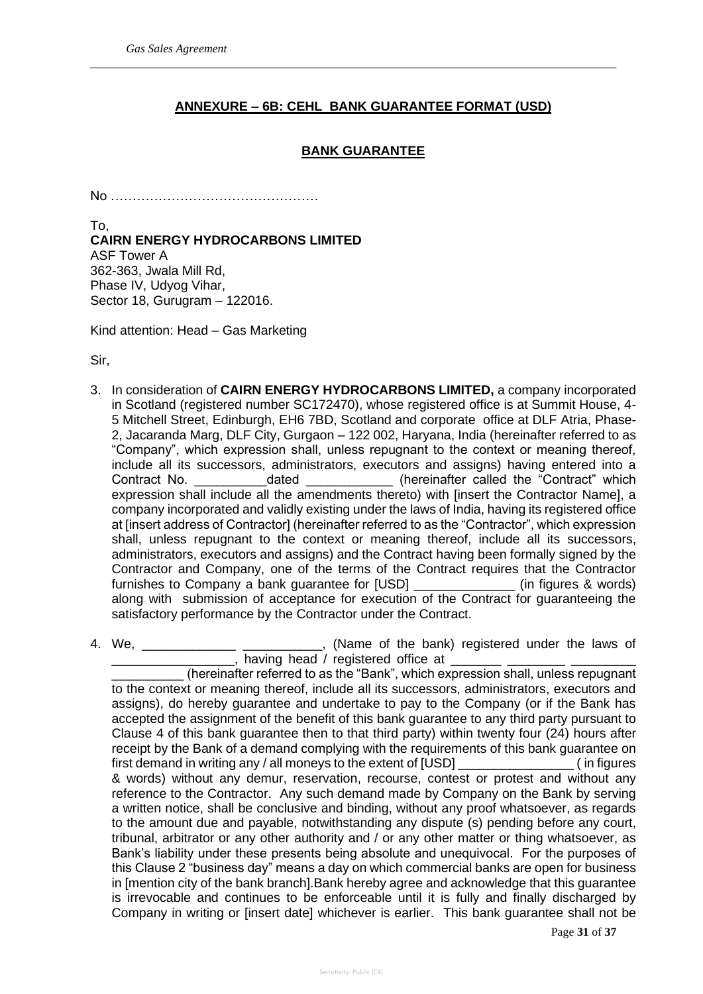# **ANNEXURE – 6B: CEHL BANK GUARANTEE FORMAT (USD)**

# **BANK GUARANTEE**

No …………………………………………

To, **CAIRN ENERGY HYDROCARBONS LIMITED** ASF Tower A 362-363, Jwala Mill Rd, Phase IV, Udyog Vihar, Sector 18, Gurugram – 122016.

Kind attention: Head – Gas Marketing

Sir,

- 3. In consideration of **CAIRN ENERGY HYDROCARBONS LIMITED,** a company incorporated in Scotland (registered number SC172470), whose registered office is at Summit House, 4- 5 Mitchell Street, Edinburgh, EH6 7BD, Scotland and corporate office at DLF Atria, Phase-2, Jacaranda Marg, DLF City, Gurgaon – 122 002, Haryana, India (hereinafter referred to as "Company", which expression shall, unless repugnant to the context or meaning thereof, include all its successors, administrators, executors and assigns) having entered into a Contract No. \_\_\_\_\_\_\_\_\_\_\_\_\_dated \_\_\_\_\_\_\_\_\_\_\_\_\_\_\_(hereinafter called the "Contract" which expression shall include all the amendments thereto) with [insert the Contractor Name], a company incorporated and validly existing under the laws of India, having its registered office at [insert address of Contractor] (hereinafter referred to as the "Contractor", which expression shall, unless repugnant to the context or meaning thereof, include all its successors, administrators, executors and assigns) and the Contract having been formally signed by the Contractor and Company, one of the terms of the Contract requires that the Contractor furnishes to Company a bank guarantee for [USD] \_\_\_\_\_\_\_\_\_\_\_\_\_\_ (in figures & words) along with submission of acceptance for execution of the Contract for guaranteeing the satisfactory performance by the Contractor under the Contract.
- 4. We, \_\_\_\_\_\_\_\_\_\_\_\_\_\_\_\_\_\_\_\_\_\_\_\_\_\_\_\_\_\_, (Name of the bank) registered under the laws of  $\Box$ , having head / registered office at  $\Box$

(hereinafter referred to as the "Bank", which expression shall, unless repugnant to the context or meaning thereof, include all its successors, administrators, executors and assigns), do hereby guarantee and undertake to pay to the Company (or if the Bank has accepted the assignment of the benefit of this bank guarantee to any third party pursuant to Clause 4 of this bank guarantee then to that third party) within twenty four (24) hours after receipt by the Bank of a demand complying with the requirements of this bank guarantee on first demand in writing any / all moneys to the extent of [USD] \_\_\_\_\_\_\_\_\_\_\_\_\_\_\_\_ ( in figures & words) without any demur, reservation, recourse, contest or protest and without any reference to the Contractor. Any such demand made by Company on the Bank by serving a written notice, shall be conclusive and binding, without any proof whatsoever, as regards to the amount due and payable, notwithstanding any dispute (s) pending before any court, tribunal, arbitrator or any other authority and / or any other matter or thing whatsoever, as Bank's liability under these presents being absolute and unequivocal. For the purposes of this Clause 2 "business day" means a day on which commercial banks are open for business in [mention city of the bank branch].Bank hereby agree and acknowledge that this guarantee is irrevocable and continues to be enforceable until it is fully and finally discharged by Company in writing or [insert date] whichever is earlier. This bank guarantee shall not be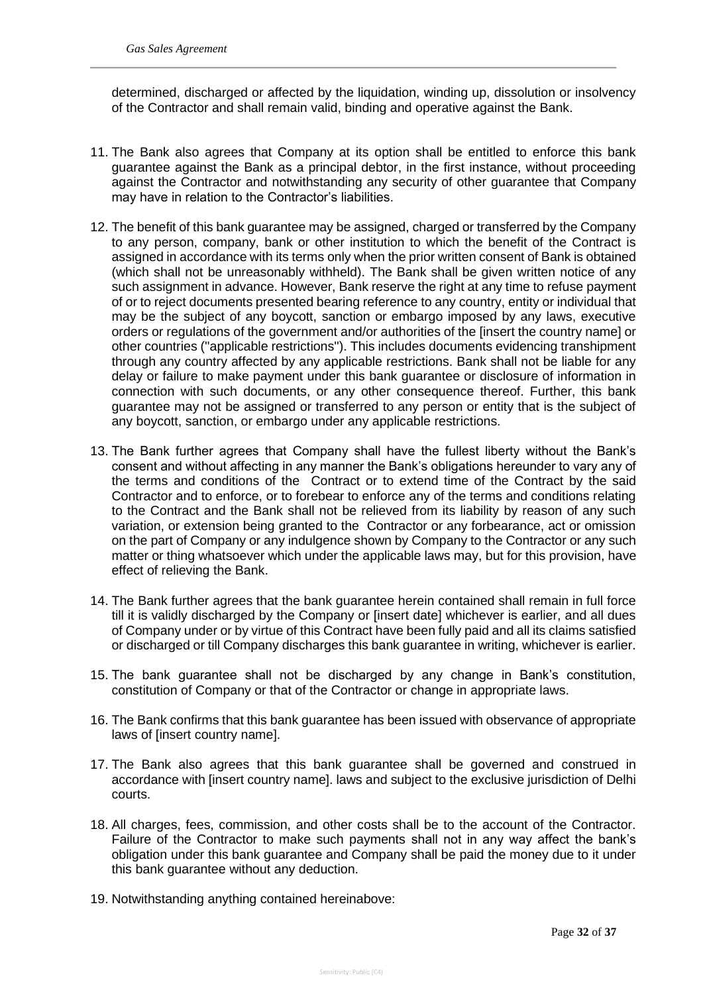determined, discharged or affected by the liquidation, winding up, dissolution or insolvency of the Contractor and shall remain valid, binding and operative against the Bank.

- 11. The Bank also agrees that Company at its option shall be entitled to enforce this bank guarantee against the Bank as a principal debtor, in the first instance, without proceeding against the Contractor and notwithstanding any security of other guarantee that Company may have in relation to the Contractor's liabilities.
- 12. The benefit of this bank guarantee may be assigned, charged or transferred by the Company to any person, company, bank or other institution to which the benefit of the Contract is assigned in accordance with its terms only when the prior written consent of Bank is obtained (which shall not be unreasonably withheld). The Bank shall be given written notice of any such assignment in advance. However, Bank reserve the right at any time to refuse payment of or to reject documents presented bearing reference to any country, entity or individual that may be the subject of any boycott, sanction or embargo imposed by any laws, executive orders or regulations of the government and/or authorities of the [insert the country name] or other countries (''applicable restrictions''). This includes documents evidencing transhipment through any country affected by any applicable restrictions. Bank shall not be liable for any delay or failure to make payment under this bank guarantee or disclosure of information in connection with such documents, or any other consequence thereof. Further, this bank guarantee may not be assigned or transferred to any person or entity that is the subject of any boycott, sanction, or embargo under any applicable restrictions.
- 13. The Bank further agrees that Company shall have the fullest liberty without the Bank's consent and without affecting in any manner the Bank's obligations hereunder to vary any of the terms and conditions of the Contract or to extend time of the Contract by the said Contractor and to enforce, or to forebear to enforce any of the terms and conditions relating to the Contract and the Bank shall not be relieved from its liability by reason of any such variation, or extension being granted to the Contractor or any forbearance, act or omission on the part of Company or any indulgence shown by Company to the Contractor or any such matter or thing whatsoever which under the applicable laws may, but for this provision, have effect of relieving the Bank.
- 14. The Bank further agrees that the bank guarantee herein contained shall remain in full force till it is validly discharged by the Company or [insert date] whichever is earlier, and all dues of Company under or by virtue of this Contract have been fully paid and all its claims satisfied or discharged or till Company discharges this bank guarantee in writing, whichever is earlier.
- 15. The bank guarantee shall not be discharged by any change in Bank's constitution, constitution of Company or that of the Contractor or change in appropriate laws.
- 16. The Bank confirms that this bank guarantee has been issued with observance of appropriate laws of [insert country name].
- 17. The Bank also agrees that this bank guarantee shall be governed and construed in accordance with [insert country name]. laws and subject to the exclusive jurisdiction of Delhi courts.
- 18. All charges, fees, commission, and other costs shall be to the account of the Contractor. Failure of the Contractor to make such payments shall not in any way affect the bank's obligation under this bank guarantee and Company shall be paid the money due to it under this bank guarantee without any deduction.
- 19. Notwithstanding anything contained hereinabove: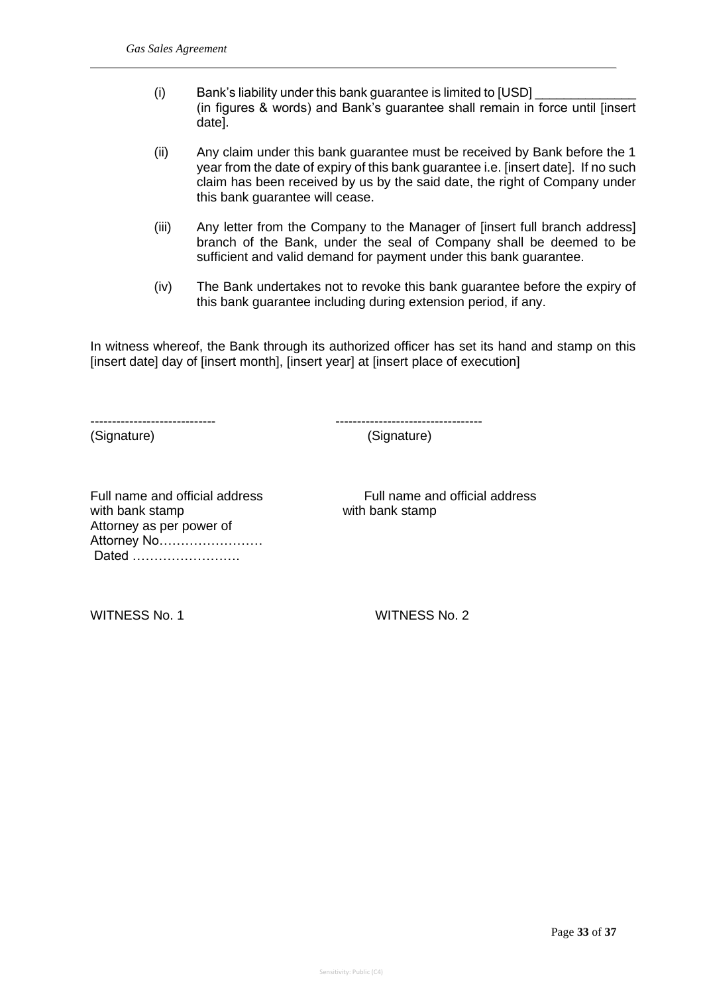- (i) Bank's liability under this bank guarantee is limited to  $[USD]$ (in figures & words) and Bank's guarantee shall remain in force until [insert date].
- (ii) Any claim under this bank guarantee must be received by Bank before the 1 year from the date of expiry of this bank guarantee i.e. [insert date]. If no such claim has been received by us by the said date, the right of Company under this bank guarantee will cease.
- (iii) Any letter from the Company to the Manager of [insert full branch address] branch of the Bank, under the seal of Company shall be deemed to be sufficient and valid demand for payment under this bank guarantee.
- (iv) The Bank undertakes not to revoke this bank guarantee before the expiry of this bank guarantee including during extension period, if any.

In witness whereof, the Bank through its authorized officer has set its hand and stamp on this [insert date] day of [insert month], [insert year] at [insert place of execution]

----------------------------- ----------------------------------

(Signature) (Signature)

Full name and official address Full name and official address with bank stamp with bank stamp Attorney as per power of Attorney No…………………… Dated …………………….

WITNESS No. 1 WITNESS No. 2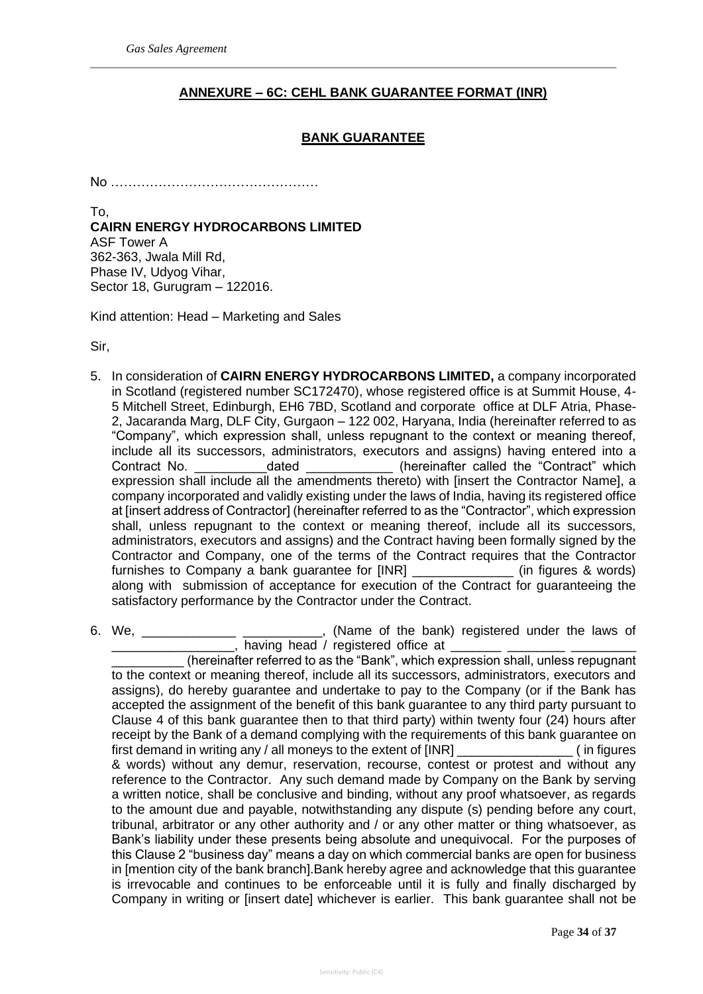# **ANNEXURE – 6C: CEHL BANK GUARANTEE FORMAT (INR)**

## **BANK GUARANTEE**

No …………………………………………

To, **CAIRN ENERGY HYDROCARBONS LIMITED** ASF Tower A 362-363, Jwala Mill Rd, Phase IV, Udyog Vihar, Sector 18, Gurugram – 122016.

Kind attention: Head – Marketing and Sales

Sir,

- 5. In consideration of **CAIRN ENERGY HYDROCARBONS LIMITED,** a company incorporated in Scotland (registered number SC172470), whose registered office is at Summit House, 4- 5 Mitchell Street, Edinburgh, EH6 7BD, Scotland and corporate office at DLF Atria, Phase-2, Jacaranda Marg, DLF City, Gurgaon – 122 002, Haryana, India (hereinafter referred to as "Company", which expression shall, unless repugnant to the context or meaning thereof, include all its successors, administrators, executors and assigns) having entered into a Contract No. \_\_\_\_\_\_\_\_\_\_dated \_\_\_\_\_\_\_\_\_\_\_\_ (hereinafter called the "Contract" which expression shall include all the amendments thereto) with [insert the Contractor Name], a company incorporated and validly existing under the laws of India, having its registered office at [insert address of Contractor] (hereinafter referred to as the "Contractor", which expression shall, unless repugnant to the context or meaning thereof, include all its successors, administrators, executors and assigns) and the Contract having been formally signed by the Contractor and Company, one of the terms of the Contract requires that the Contractor furnishes to Company a bank guarantee for [INR] \_\_\_\_\_\_\_\_\_\_\_\_\_\_ (in figures & words) along with submission of acceptance for execution of the Contract for guaranteeing the satisfactory performance by the Contractor under the Contract.
- 6. We, \_\_\_\_\_\_\_\_\_\_\_\_\_ \_\_\_\_\_\_\_\_\_\_\_, (Name of the bank) registered under the laws of  $\frac{1}{2}$ , having head / registered office at  $\frac{1}{2}$

(hereinafter referred to as the "Bank", which expression shall, unless repugnant to the context or meaning thereof, include all its successors, administrators, executors and assigns), do hereby guarantee and undertake to pay to the Company (or if the Bank has accepted the assignment of the benefit of this bank guarantee to any third party pursuant to Clause 4 of this bank guarantee then to that third party) within twenty four (24) hours after receipt by the Bank of a demand complying with the requirements of this bank guarantee on first demand in writing any / all moneys to the extent of [INR] (in figures & words) without any demur, reservation, recourse, contest or protest and without any reference to the Contractor. Any such demand made by Company on the Bank by serving a written notice, shall be conclusive and binding, without any proof whatsoever, as regards to the amount due and payable, notwithstanding any dispute (s) pending before any court, tribunal, arbitrator or any other authority and / or any other matter or thing whatsoever, as Bank's liability under these presents being absolute and unequivocal. For the purposes of this Clause 2 "business day" means a day on which commercial banks are open for business in [mention city of the bank branch].Bank hereby agree and acknowledge that this guarantee is irrevocable and continues to be enforceable until it is fully and finally discharged by Company in writing or [insert date] whichever is earlier. This bank guarantee shall not be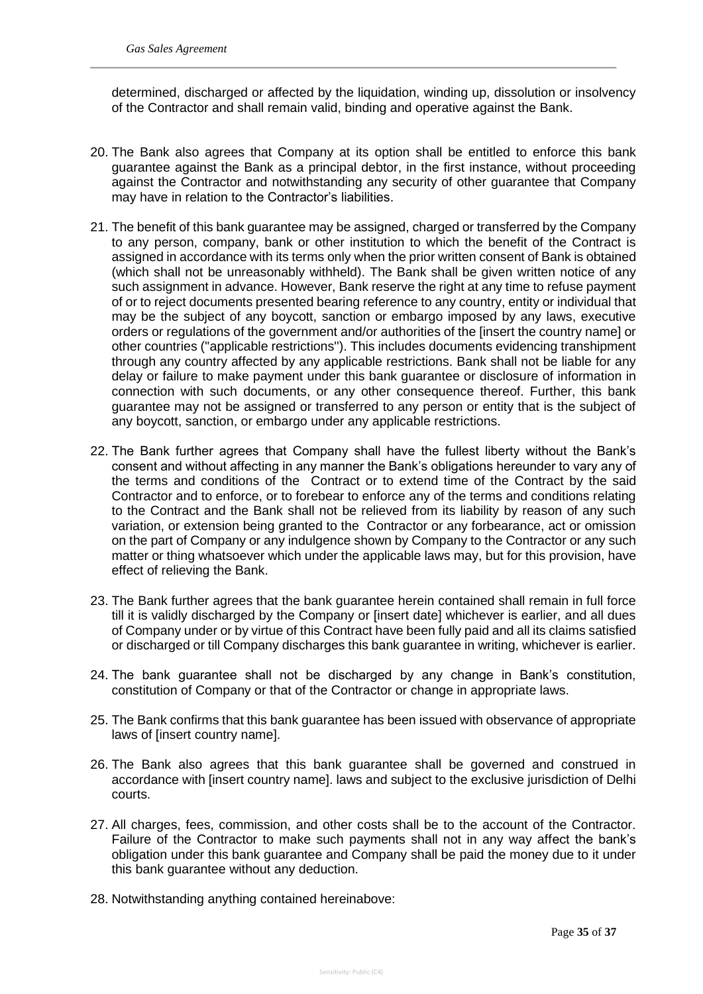determined, discharged or affected by the liquidation, winding up, dissolution or insolvency of the Contractor and shall remain valid, binding and operative against the Bank.

- 20. The Bank also agrees that Company at its option shall be entitled to enforce this bank guarantee against the Bank as a principal debtor, in the first instance, without proceeding against the Contractor and notwithstanding any security of other guarantee that Company may have in relation to the Contractor's liabilities.
- 21. The benefit of this bank guarantee may be assigned, charged or transferred by the Company to any person, company, bank or other institution to which the benefit of the Contract is assigned in accordance with its terms only when the prior written consent of Bank is obtained (which shall not be unreasonably withheld). The Bank shall be given written notice of any such assignment in advance. However, Bank reserve the right at any time to refuse payment of or to reject documents presented bearing reference to any country, entity or individual that may be the subject of any boycott, sanction or embargo imposed by any laws, executive orders or regulations of the government and/or authorities of the [insert the country name] or other countries (''applicable restrictions''). This includes documents evidencing transhipment through any country affected by any applicable restrictions. Bank shall not be liable for any delay or failure to make payment under this bank guarantee or disclosure of information in connection with such documents, or any other consequence thereof. Further, this bank guarantee may not be assigned or transferred to any person or entity that is the subject of any boycott, sanction, or embargo under any applicable restrictions.
- 22. The Bank further agrees that Company shall have the fullest liberty without the Bank's consent and without affecting in any manner the Bank's obligations hereunder to vary any of the terms and conditions of the Contract or to extend time of the Contract by the said Contractor and to enforce, or to forebear to enforce any of the terms and conditions relating to the Contract and the Bank shall not be relieved from its liability by reason of any such variation, or extension being granted to the Contractor or any forbearance, act or omission on the part of Company or any indulgence shown by Company to the Contractor or any such matter or thing whatsoever which under the applicable laws may, but for this provision, have effect of relieving the Bank.
- 23. The Bank further agrees that the bank guarantee herein contained shall remain in full force till it is validly discharged by the Company or [insert date] whichever is earlier, and all dues of Company under or by virtue of this Contract have been fully paid and all its claims satisfied or discharged or till Company discharges this bank guarantee in writing, whichever is earlier.
- 24. The bank guarantee shall not be discharged by any change in Bank's constitution, constitution of Company or that of the Contractor or change in appropriate laws.
- 25. The Bank confirms that this bank guarantee has been issued with observance of appropriate laws of [insert country name].
- 26. The Bank also agrees that this bank guarantee shall be governed and construed in accordance with [insert country name]. laws and subject to the exclusive jurisdiction of Delhi courts.
- 27. All charges, fees, commission, and other costs shall be to the account of the Contractor. Failure of the Contractor to make such payments shall not in any way affect the bank's obligation under this bank guarantee and Company shall be paid the money due to it under this bank guarantee without any deduction.
- 28. Notwithstanding anything contained hereinabove: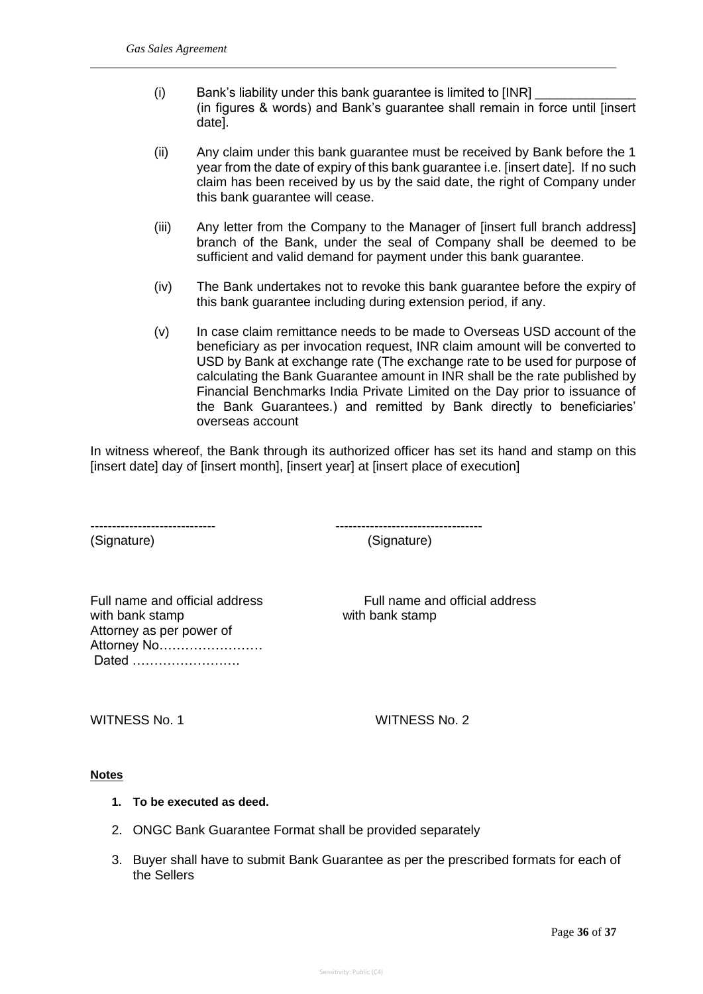- (i) Bank's liability under this bank guarantee is limited to  $[INR]$ (in figures & words) and Bank's guarantee shall remain in force until [insert date].
- (ii) Any claim under this bank guarantee must be received by Bank before the 1 year from the date of expiry of this bank guarantee i.e. [insert date]. If no such claim has been received by us by the said date, the right of Company under this bank guarantee will cease.
- (iii) Any letter from the Company to the Manager of [insert full branch address] branch of the Bank, under the seal of Company shall be deemed to be sufficient and valid demand for payment under this bank guarantee.
- (iv) The Bank undertakes not to revoke this bank guarantee before the expiry of this bank guarantee including during extension period, if any.
- (v) In case claim remittance needs to be made to Overseas USD account of the beneficiary as per invocation request, INR claim amount will be converted to USD by Bank at exchange rate (The exchange rate to be used for purpose of calculating the Bank Guarantee amount in INR shall be the rate published by Financial Benchmarks India Private Limited on the Day prior to issuance of the Bank Guarantees.) and remitted by Bank directly to beneficiaries' overseas account

In witness whereof, the Bank through its authorized officer has set its hand and stamp on this [insert date] day of [insert month], [insert year] at [insert place of execution]

(Signature) (Signature)

----------------------------- ----------------------------------

with bank stamp with bank stamp Attorney as per power of Attorney No…………………… Dated …………………….

Full name and official address Full name and official address

WITNESS No. 1 WITNESS No. 2

## **Notes**

- **1. To be executed as deed.**
- 2. ONGC Bank Guarantee Format shall be provided separately
- 3. Buyer shall have to submit Bank Guarantee as per the prescribed formats for each of the Sellers